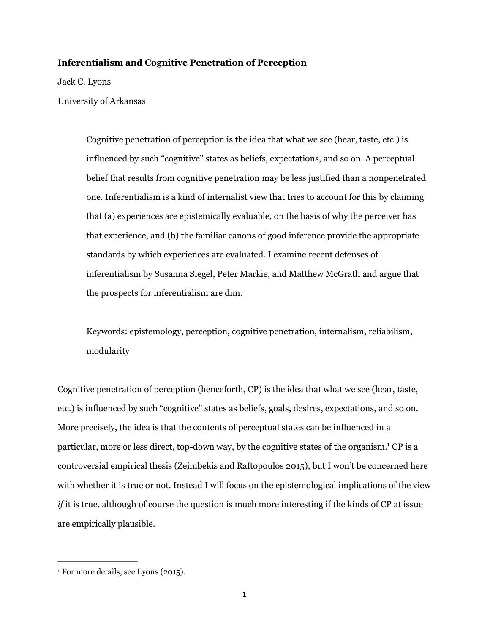# **Inferentialism and Cognitive Penetration of Perception**

Jack C. Lyons

University of Arkansas

Cognitive penetration of perception is the idea that what we see (hear, taste, etc.) is influenced by such "cognitive" states as beliefs, expectations, and so on. A perceptual belief that results from cognitive penetration may be less justified than a nonpenetrated one. Inferentialism is a kind of internalist view that tries to account for this by claiming that (a) experiences are epistemically evaluable, on the basis of why the perceiver has that experience, and (b) the familiar canons of good inference provide the appropriate standards by which experiences are evaluated. I examine recent defenses of inferentialism by Susanna Siegel, Peter Markie, and Matthew McGrath and argue that the prospects for inferentialism are dim.

<span id="page-0-1"></span>Keywords: epistemology, perception, cognitive penetration, internalism, reliabilism, modularity

Cognitive penetration of perception (henceforth, CP) is the idea that what we see (hear, taste, etc.) is influenced by such "cognitive" states as beliefs, goals, desires, expectations, and so on. More precisely, the idea is that the contents of perceptual states can be influenced in a particular, more or less direct, top-down way, by the cognitive states of the organism[.](#page-0-0)<sup>[1](#page-0-0)</sup> CP is a controversial empirical thesis (Zeimbekis and Raftopoulos 2015), but I won't be concerned here with whether it is true or not. Instead I will focus on the epistemological implications of the view *if* it is true, although of course the question is much more interesting if the kinds of CP at issue are empirically plausible.

<span id="page-0-0"></span> $<sup>1</sup>$  $<sup>1</sup>$  $<sup>1</sup>$  For more details, see Lyons (2015).</sup>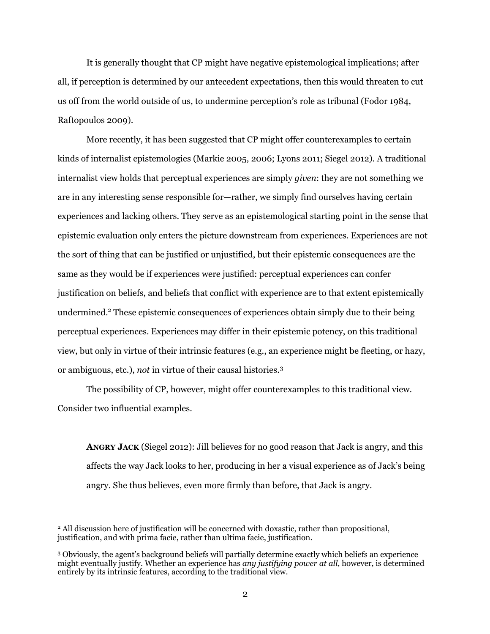It is generally thought that CP might have negative epistemological implications; after all, if perception is determined by our antecedent expectations, then this would threaten to cut us off from the world outside of us, to undermine perception's role as tribunal (Fodor 1984, Raftopoulos 2009).

 More recently, it has been suggested that CP might offer counterexamples to certain kinds of internalist epistemologies (Markie 2005, 2006; Lyons 2011; Siegel 2012). A traditional internalist view holds that perceptual experiences are simply *given*: they are not something we are in any interesting sense responsible for—rather, we simply find ourselves having certain experiences and lacking others. They serve as an epistemological starting point in the sense that epistemic evaluation only enters the picture downstream from experiences. Experiences are not the sort of thing that can be justified or unjustified, but their epistemic consequences are the same as they would be if experiences were justified: perceptual experiences can confer justification on beliefs, and beliefs that conflict with experience are to that extent epistemically undermined.<sup>[2](#page-1-0)</sup> These epistemic consequences of experiences obtain simply due to their being perceptual experiences. Experiences may differ in their epistemic potency, on this traditional view, but only in virtue of their intrinsic features (e.g., an experience might be fleeting, or hazy, or ambiguous, etc.), *not* in virtue of their causal histories.[3](#page-1-1)

<span id="page-1-2"></span> The possibility of CP, however, might offer counterexamples to this traditional view. Consider two influential examples.

<span id="page-1-3"></span>**ANGRY JACK** (Siegel 2012): Jill believes for no good reason that Jack is angry, and this affects the way Jack looks to her, producing in her a visual experience as of Jack's being angry. She thus believes, even more firmly than before, that Jack is angry.

<span id="page-1-0"></span><sup>&</sup>lt;sup>[2](#page-1-2)</sup> All discussion here of justification will be concerned with doxastic, rather than propositional, justification, and with prima facie, rather than ultima facie, justification.

<span id="page-1-1"></span><sup>&</sup>lt;sup>3</sup>Obviously, the agent's background beliefs will partially determine exactly which beliefs an experience might eventually justify. Whether an experience has *any justifying power at all*, however, is determined entirely by its intrinsic features, according to the traditional view.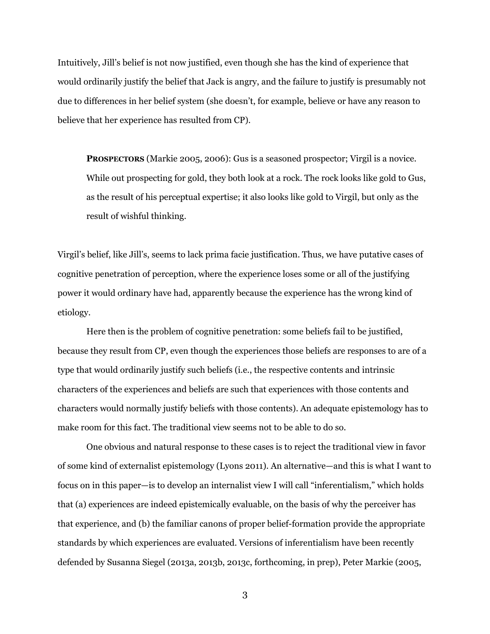Intuitively, Jill's belief is not now justified, even though she has the kind of experience that would ordinarily justify the belief that Jack is angry, and the failure to justify is presumably not due to differences in her belief system (she doesn't, for example, believe or have any reason to believe that her experience has resulted from CP).

**PROSPECTORS** (Markie 2005, 2006): Gus is a seasoned prospector; Virgil is a novice. While out prospecting for gold, they both look at a rock. The rock looks like gold to Gus, as the result of his perceptual expertise; it also looks like gold to Virgil, but only as the result of wishful thinking.

Virgil's belief, like Jill's, seems to lack prima facie justification. Thus, we have putative cases of cognitive penetration of perception, where the experience loses some or all of the justifying power it would ordinary have had, apparently because the experience has the wrong kind of etiology.

 Here then is the problem of cognitive penetration: some beliefs fail to be justified, because they result from CP, even though the experiences those beliefs are responses to are of a type that would ordinarily justify such beliefs (i.e., the respective contents and intrinsic characters of the experiences and beliefs are such that experiences with those contents and characters would normally justify beliefs with those contents). An adequate epistemology has to make room for this fact. The traditional view seems not to be able to do so.

 One obvious and natural response to these cases is to reject the traditional view in favor of some kind of externalist epistemology (Lyons 2011). An alternative—and this is what I want to focus on in this paper—is to develop an internalist view I will call "inferentialism," which holds that (a) experiences are indeed epistemically evaluable, on the basis of why the perceiver has that experience, and (b) the familiar canons of proper belief-formation provide the appropriate standards by which experiences are evaluated. Versions of inferentialism have been recently defended by Susanna Siegel (2013a, 2013b, 2013c, forthcoming, in prep), Peter Markie (2005,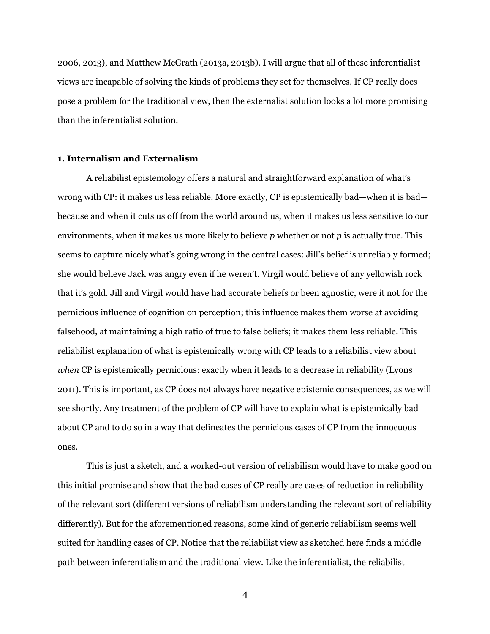2006, 2013), and Matthew McGrath (2013a, 2013b). I will argue that all of these inferentialist views are incapable of solving the kinds of problems they set for themselves. If CP really does pose a problem for the traditional view, then the externalist solution looks a lot more promising than the inferentialist solution.

# **1. Internalism and Externalism**

 A reliabilist epistemology offers a natural and straightforward explanation of what's wrong with CP: it makes us less reliable. More exactly, CP is epistemically bad—when it is bad because and when it cuts us off from the world around us, when it makes us less sensitive to our environments, when it makes us more likely to believe *p* whether or not *p* is actually true. This seems to capture nicely what's going wrong in the central cases: Jill's belief is unreliably formed; she would believe Jack was angry even if he weren't. Virgil would believe of any yellowish rock that it's gold. Jill and Virgil would have had accurate beliefs or been agnostic, were it not for the pernicious influence of cognition on perception; this influence makes them worse at avoiding falsehood, at maintaining a high ratio of true to false beliefs; it makes them less reliable. This reliabilist explanation of what is epistemically wrong with CP leads to a reliabilist view about *when* CP is epistemically pernicious: exactly when it leads to a decrease in reliability (Lyons 2011). This is important, as CP does not always have negative epistemic consequences, as we will see shortly. Any treatment of the problem of CP will have to explain what is epistemically bad about CP and to do so in a way that delineates the pernicious cases of CP from the innocuous ones.

 This is just a sketch, and a worked-out version of reliabilism would have to make good on this initial promise and show that the bad cases of CP really are cases of reduction in reliability of the relevant sort (different versions of reliabilism understanding the relevant sort of reliability differently). But for the aforementioned reasons, some kind of generic reliabilism seems well suited for handling cases of CP. Notice that the reliabilist view as sketched here finds a middle path between inferentialism and the traditional view. Like the inferentialist, the reliabilist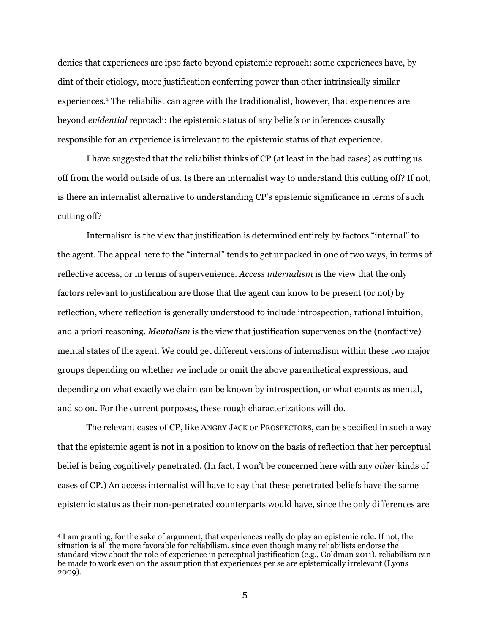<span id="page-4-1"></span>denies that experiences are ipso facto beyond epistemic reproach: some experiences have, by dint of their etiology, more justification conferring power than other intrinsically similar experiences[.](#page-4-0)<sup>[4](#page-4-0)</sup> The reliabilist can agree with the traditionalist, however, that experiences are beyond *evidential* reproach: the epistemic status of any beliefs or inferences causally responsible for an experience is irrelevant to the epistemic status of that experience.

 I have suggested that the reliabilist thinks of CP (at least in the bad cases) as cutting us off from the world outside of us. Is there an internalist way to understand this cutting off? If not, is there an internalist alternative to understanding CP's epistemic significance in terms of such cutting off?

 Internalism is the view that justification is determined entirely by factors "internal" to the agent. The appeal here to the "internal" tends to get unpacked in one of two ways, in terms of reflective access, or in terms of supervenience. *Access internalism* is the view that the only factors relevant to justification are those that the agent can know to be present (or not) by reflection, where reflection is generally understood to include introspection, rational intuition, and a priori reasoning. *Mentalism* is the view that justification supervenes on the (nonfactive) mental states of the agent. We could get different versions of internalism within these two major groups depending on whether we include or omit the above parenthetical expressions, and depending on what exactly we claim can be known by introspection, or what counts as mental, and so on. For the current purposes, these rough characterizations will do.

 The relevant cases of CP, like ANGRY JACK or PROSPECTORS, can be specified in such a way that the epistemic agent is not in a position to know on the basis of reflection that her perceptual belief is being cognitively penetrated. (In fact, I won't be concerned here with any *other* kinds of cases of CP.) An access internalist will have to say that these penetrated beliefs have the same epistemic status as their non-penetrated counterparts would have, since the only differences are

<span id="page-4-0"></span>I am granting, for the sake of argument, that experiences really do play an epistemic role. If not, the [4](#page-4-1) situation is all the more favorable for reliabilism, since even though many reliabilists endorse the standard view about the role of experience in perceptual justification (e.g., Goldman 2011), reliabilism can be made to work even on the assumption that experiences per se are epistemically irrelevant (Lyons 2009).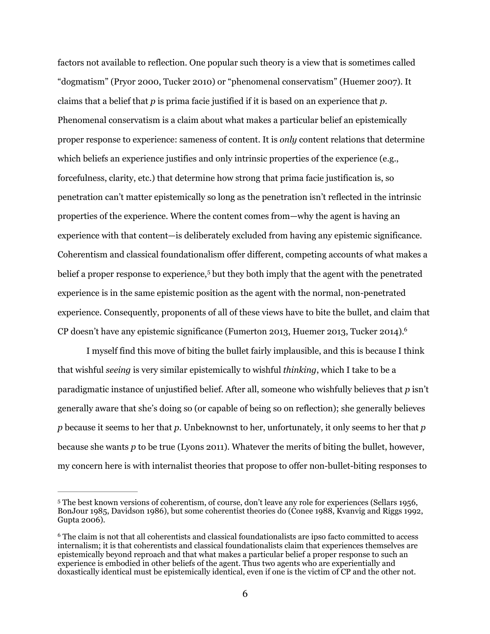factors not available to reflection. One popular such theory is a view that is sometimes called "dogmatism" (Pryor 2000, Tucker 2010) or "phenomenal conservatism" (Huemer 2007). It claims that a belief that *p* is prima facie justified if it is based on an experience that *p*. Phenomenal conservatism is a claim about what makes a particular belief an epistemically proper response to experience: sameness of content. It is *only* content relations that determine which beliefs an experience justifies and only intrinsic properties of the experience (e.g., forcefulness, clarity, etc.) that determine how strong that prima facie justification is, so penetration can't matter epistemically so long as the penetration isn't reflected in the intrinsic properties of the experience. Where the content comes from—why the agent is having an experience with that content—is deliberately excluded from having any epistemic significance. Coherentism and classical foundationalism offer different, competing accounts of what makes a beliefa proper response to experience,<sup>[5](#page-5-0)</sup> but they both imply that the agent with the penetrated experience is in the same epistemic position as the agent with the normal, non-penetrated experience. Consequently, proponents of all of these views have to bite the bullet, and claim that CP doesn't have any epistemic significance (Fumerton 2013, Huemer 2013, Tucker 2014).<sup>6</sup>

<span id="page-5-3"></span><span id="page-5-2"></span> I myself find this move of biting the bullet fairly implausible, and this is because I think that wishful *seeing* is very similar epistemically to wishful *thinking*, which I take to be a paradigmatic instance of unjustified belief. After all, someone who wishfully believes that *p* isn't generally aware that she's doing so (or capable of being so on reflection); she generally believes *p* because it seems to her that *p*. Unbeknownst to her, unfortunately, it only seems to her that *p*  because she wants *p* to be true (Lyons 2011). Whatever the merits of biting the bullet, however, my concern here is with internalist theories that propose to offer non-bullet-biting responses to

<span id="page-5-0"></span><sup>&</sup>lt;sup>5</sup>The best known versions of coherentism, of course, don't leave any role for experiences (Sellars 19[5](#page-5-2)6, BonJour 1985, Davidson 1986), but some coherentist theories do (Conee 1988, Kvanvig and Riggs 1992, Gupta 2006).

<span id="page-5-1"></span>The claim is not that all coherentists and classical foundationalists are ipso facto committed to access [6](#page-5-3) internalism; it is that coherentists and classical foundationalists claim that experiences themselves are epistemically beyond reproach and that what makes a particular belief a proper response to such an experience is embodied in other beliefs of the agent. Thus two agents who are experientially and doxastically identical must be epistemically identical, even if one is the victim of CP and the other not.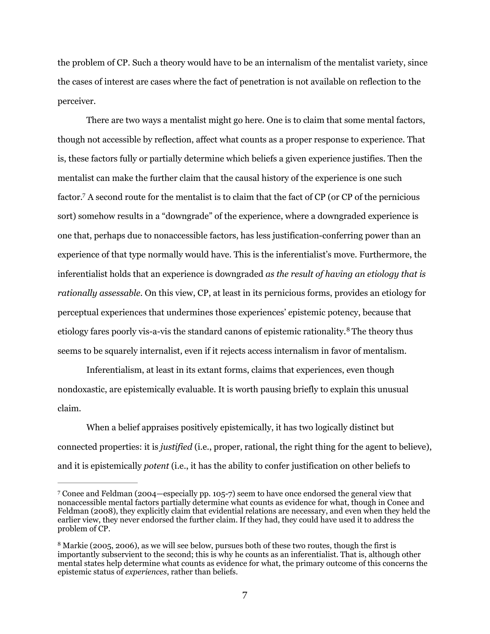the problem of CP. Such a theory would have to be an internalism of the mentalist variety, since the cases of interest are cases where the fact of penetration is not available on reflection to the perceiver.

<span id="page-6-2"></span> There are two ways a mentalist might go here. One is to claim that some mental factors, though not accessible by reflection, affect what counts as a proper response to experience. That is, these factors fully or partially determine which beliefs a given experience justifies. Then the mentalist can make the further claim that the causal history of the experience is one such factor.<sup>[7](#page-6-0)</sup> A second route for the mentalist is to claim that the fact of CP (or CP of the pernicious sort) somehow results in a "downgrade" of the experience, where a downgraded experience is one that, perhaps due to nonaccessible factors, has less justification-conferring power than an experience of that type normally would have. This is the inferentialist's move. Furthermore, the inferentialist holds that an experience is downgraded *as the result of having an etiology that is rationally assessable*. On this view, CP, at least in its pernicious forms, provides an etiology for perceptual experiences that undermines those experiences' epistemic potency, because that etiology fares poorly vis-a-vis the standard canons of epistemic rationality.<sup>[8](#page-6-1)</sup> The theory thus seems to be squarely internalist, even if it rejects access internalism in favor of mentalism.

<span id="page-6-3"></span> Inferentialism, at least in its extant forms, claims that experiences, even though nondoxastic, are epistemically evaluable. It is worth pausing briefly to explain this unusual claim.

 When a belief appraises positively epistemically, it has two logically distinct but connected properties: it is *justified* (i.e., proper, rational, the right thing for the agent to believe), and it is epistemically *potent* (i.e., it has the ability to confer justification on other beliefs to

<span id="page-6-0"></span>Conee and Feldman (2004—especially pp. 105-7) seem to have once endorsed the general view that [7](#page-6-2) nonaccessible mental factors partially determine what counts as evidence for what, though in Conee and Feldman (2008), they explicitly claim that evidential relations are necessary, and even when they held the earlier view, they never endorsed the further claim. If they had, they could have used it to address the problem of CP.

<span id="page-6-1"></span><sup>&</sup>lt;sup>8</sup>Markie (2005, 2006), as we will see below, pursues both of these two routes, though the first is importantly subservient to the second; this is why he counts as an inferentialist. That is, although other mental states help determine what counts as evidence for what, the primary outcome of this concerns the epistemic status of *experiences*, rather than beliefs.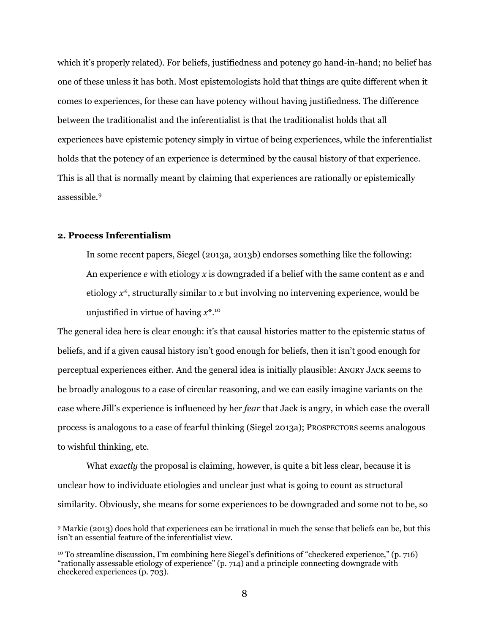which it's properly related). For beliefs, justifiedness and potency go hand-in-hand; no belief has one of these unless it has both. Most epistemologists hold that things are quite different when it comes to experiences, for these can have potency without having justifiedness. The difference between the traditionalist and the inferentialist is that the traditionalist holds that all experiences have epistemic potency simply in virtue of being experiences, while the inferentialist holds that the potency of an experience is determined by the causal history of that experience. This is all that is normally meant by claiming that experiences are rationally or epistemically assessible.[9](#page-7-0)

# **2. Process Inferentialism**

<span id="page-7-3"></span><span id="page-7-2"></span> In some recent papers, Siegel (2013a, 2013b) endorses something like the following: An experience *e* with etiology *x* is downgraded if a belief with the same content as *e* and etiology *x*\*, structurally similar to *x* but involving no intervening experience, would be unjustified in virtue of having *x*\*[.10](#page-7-1)

The general idea here is clear enough: it's that causal histories matter to the epistemic status of beliefs, and if a given causal history isn't good enough for beliefs, then it isn't good enough for perceptual experiences either. And the general idea is initially plausible: ANGRY JACK seems to be broadly analogous to a case of circular reasoning, and we can easily imagine variants on the case where Jill's experience is influenced by her *fear* that Jack is angry, in which case the overall process is analogous to a case of fearful thinking (Siegel 2013a); PROSPECTORS seems analogous to wishful thinking, etc.

 What *exactly* the proposal is claiming, however, is quite a bit less clear, because it is unclear how to individuate etiologies and unclear just what is going to count as structural similarity. Obviously, she means for some experiences to be downgraded and some not to be, so

<span id="page-7-0"></span>Markie (2013) does hold that experiences can be irrational in much the sense that beliefs can be, but this [9](#page-7-2) isn't an essential feature of the inferentialist view.

<span id="page-7-1"></span><sup>&</sup>lt;sup>[10](#page-7-3)</sup> To streamline discussion, I'm combining here Siegel's definitions of "checkered experience," (p. 716) "rationally assessable etiology of experience" (p. 714) and a principle connecting downgrade with checkered experiences (p. 703).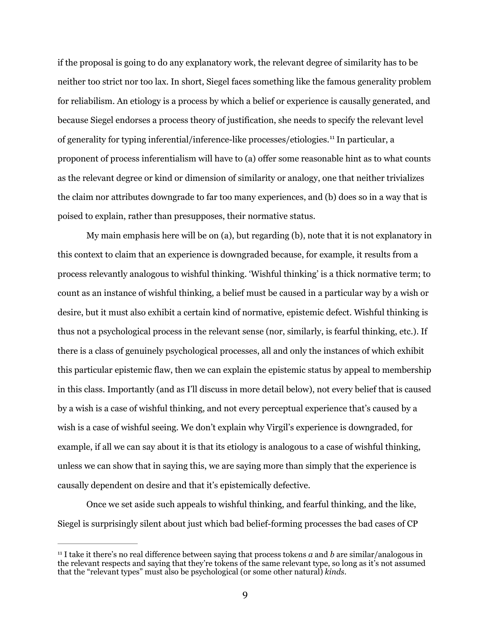<span id="page-8-1"></span>if the proposal is going to do any explanatory work, the relevant degree of similarity has to be neither too strict nor too lax. In short, Siegel faces something like the famous generality problem for reliabilism. An etiology is a process by which a belief or experience is causally generated, and because Siegel endorses a process theory of justification, she needs to specify the relevant level of generality for typing inferential/inference-like processes/etiologies.In particular, a [11](#page-8-0) proponent of process inferentialism will have to (a) offer some reasonable hint as to what counts as the relevant degree or kind or dimension of similarity or analogy, one that neither trivializes the claim nor attributes downgrade to far too many experiences, and (b) does so in a way that is poised to explain, rather than presupposes, their normative status.

 My main emphasis here will be on (a), but regarding (b), note that it is not explanatory in this context to claim that an experience is downgraded because, for example, it results from a process relevantly analogous to wishful thinking. 'Wishful thinking' is a thick normative term; to count as an instance of wishful thinking, a belief must be caused in a particular way by a wish or desire, but it must also exhibit a certain kind of normative, epistemic defect. Wishful thinking is thus not a psychological process in the relevant sense (nor, similarly, is fearful thinking, etc.). If there is a class of genuinely psychological processes, all and only the instances of which exhibit this particular epistemic flaw, then we can explain the epistemic status by appeal to membership in this class. Importantly (and as I'll discuss in more detail below), not every belief that is caused by a wish is a case of wishful thinking, and not every perceptual experience that's caused by a wish is a case of wishful seeing. We don't explain why Virgil's experience is downgraded, for example, if all we can say about it is that its etiology is analogous to a case of wishful thinking, unless we can show that in saying this, we are saying more than simply that the experience is causally dependent on desire and that it's epistemically defective.

 Once we set aside such appeals to wishful thinking, and fearful thinking, and the like, Siegel is surprisingly silent about just which bad belief-forming processes the bad cases of CP

<span id="page-8-0"></span> $11$  I take it there's no real difference between saying that process tokens  $a$  and  $b$  are similar/analogous in the relevant respects and saying that they're tokens of the same relevant type, so long as it's not assumed that the "relevant types" must also be psychological (or some other natural) *kinds*.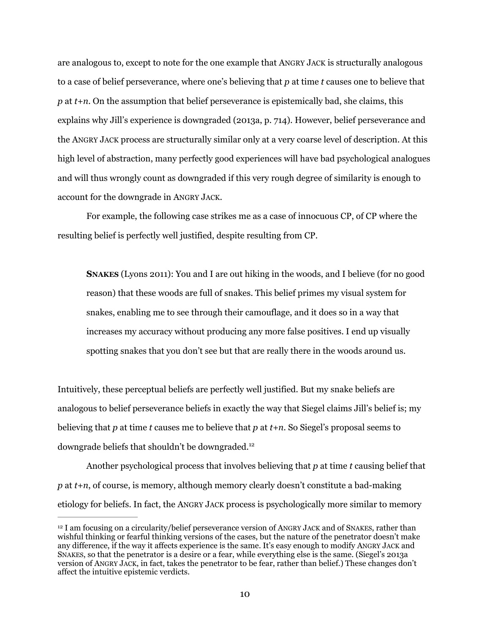are analogous to, except to note for the one example that ANGRY JACK is structurally analogous to a case of belief perseverance, where one's believing that *p* at time *t* causes one to believe that *p* at *t+n*. On the assumption that belief perseverance is epistemically bad, she claims, this explains why Jill's experience is downgraded (2013a, p. 714). However, belief perseverance and the ANGRY JACK process are structurally similar only at a very coarse level of description. At this high level of abstraction, many perfectly good experiences will have bad psychological analogues and will thus wrongly count as downgraded if this very rough degree of similarity is enough to account for the downgrade in ANGRY JACK.

 For example, the following case strikes me as a case of innocuous CP, of CP where the resulting belief is perfectly well justified, despite resulting from CP.

**SNAKES** (Lyons 2011): You and I are out hiking in the woods, and I believe (for no good reason) that these woods are full of snakes. This belief primes my visual system for snakes, enabling me to see through their camouflage, and it does so in a way that increases my accuracy without producing any more false positives. I end up visually spotting snakes that you don't see but that are really there in the woods around us.

Intuitively, these perceptual beliefs are perfectly well justified. But my snake beliefs are analogous to belief perseverance beliefs in exactly the way that Siegel claims Jill's belief is; my believing that *p* at time *t* causes me to believe that *p* at *t+n*. So Siegel's proposal seems to downgrade beliefs that shouldn't be downgraded[.12](#page-9-0)

<span id="page-9-1"></span> Another psychological process that involves believing that *p* at time *t* causing belief that *p* at *t+n*, of course, is memory, although memory clearly doesn't constitute a bad-making etiology for beliefs. In fact, the ANGRY JACK process is psychologically more similar to memory

<span id="page-9-0"></span> $12$ I am focusing on a circularity/belief perseverance version of ANGRY JACK and of SNAKES, rather than wishful thinking or fearful thinking versions of the cases, but the nature of the penetrator doesn't make any difference, if the way it affects experience is the same. It's easy enough to modify ANGRY JACK and SNAKES, so that the penetrator is a desire or a fear, while everything else is the same. (Siegel's 2013a version of ANGRY JACK, in fact, takes the penetrator to be fear, rather than belief.) These changes don't affect the intuitive epistemic verdicts.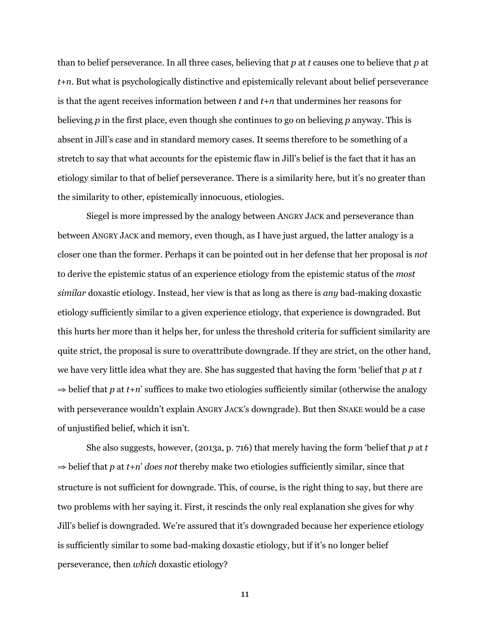than to belief perseverance. In all three cases, believing that *p* at *t* causes one to believe that *p* at *t+n*. But what is psychologically distinctive and epistemically relevant about belief perseverance is that the agent receives information between *t* and *t+n* that undermines her reasons for believing *p* in the first place, even though she continues to go on believing *p* anyway. This is absent in Jill's case and in standard memory cases. It seems therefore to be something of a stretch to say that what accounts for the epistemic flaw in Jill's belief is the fact that it has an etiology similar to that of belief perseverance. There is a similarity here, but it's no greater than the similarity to other, epistemically innocuous, etiologies.

 Siegel is more impressed by the analogy between ANGRY JACK and perseverance than between ANGRY JACK and memory, even though, as I have just argued, the latter analogy is a closer one than the former. Perhaps it can be pointed out in her defense that her proposal is *not* to derive the epistemic status of an experience etiology from the epistemic status of the *most similar* doxastic etiology. Instead, her view is that as long as there is *any* bad-making doxastic etiology sufficiently similar to a given experience etiology, that experience is downgraded. But this hurts her more than it helps her, for unless the threshold criteria for sufficient similarity are quite strict, the proposal is sure to overattribute downgrade. If they are strict, on the other hand, we have very little idea what they are. She has suggested that having the form 'belief that *p* at *t* ⇒ belief that *p* at *t+n*' suffices to make two etiologies sufficiently similar (otherwise the analogy with perseverance wouldn't explain ANGRY JACK's downgrade). But then SNAKE would be a case of unjustified belief, which it isn't.

 She also suggests, however, (2013a, p. 716) that merely having the form 'belief that *p* at *t* ⇒ belief that *p* at *t+n*' *does not* thereby make two etiologies sufficiently similar, since that structure is not sufficient for downgrade. This, of course, is the right thing to say, but there are two problems with her saying it. First, it rescinds the only real explanation she gives for why Jill's belief is downgraded. We're assured that it's downgraded because her experience etiology is sufficiently similar to some bad-making doxastic etiology, but if it's no longer belief perseverance, then *which* doxastic etiology?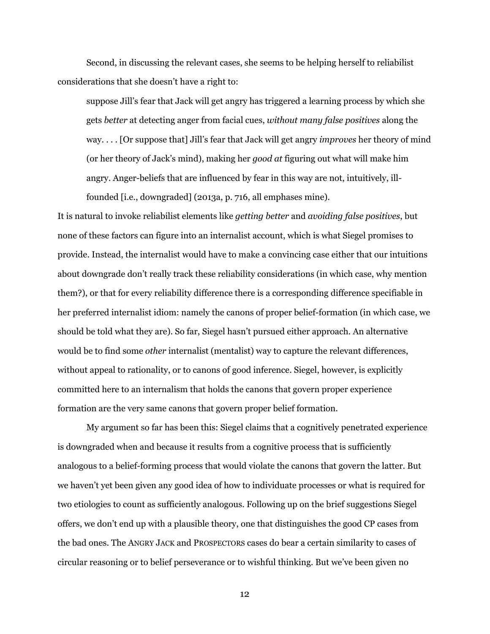Second, in discussing the relevant cases, she seems to be helping herself to reliabilist considerations that she doesn't have a right to:

suppose Jill's fear that Jack will get angry has triggered a learning process by which she gets *better* at detecting anger from facial cues, *without many false positives* along the way. . . . [Or suppose that] Jill's fear that Jack will get angry *improves* her theory of mind (or her theory of Jack's mind), making her *good at* figuring out what will make him angry. Anger-beliefs that are influenced by fear in this way are not, intuitively, illfounded [i.e., downgraded] (2013a, p. 716, all emphases mine).

It is natural to invoke reliabilist elements like *getting better* and *avoiding false positives*, but none of these factors can figure into an internalist account, which is what Siegel promises to provide. Instead, the internalist would have to make a convincing case either that our intuitions about downgrade don't really track these reliability considerations (in which case, why mention them?), or that for every reliability difference there is a corresponding difference specifiable in her preferred internalist idiom: namely the canons of proper belief-formation (in which case, we should be told what they are). So far, Siegel hasn't pursued either approach. An alternative would be to find some *other* internalist (mentalist) way to capture the relevant differences, without appeal to rationality, or to canons of good inference. Siegel, however, is explicitly committed here to an internalism that holds the canons that govern proper experience formation are the very same canons that govern proper belief formation.

 My argument so far has been this: Siegel claims that a cognitively penetrated experience is downgraded when and because it results from a cognitive process that is sufficiently analogous to a belief-forming process that would violate the canons that govern the latter. But we haven't yet been given any good idea of how to individuate processes or what is required for two etiologies to count as sufficiently analogous. Following up on the brief suggestions Siegel offers, we don't end up with a plausible theory, one that distinguishes the good CP cases from the bad ones. The ANGRY JACK and PROSPECTORS cases do bear a certain similarity to cases of circular reasoning or to belief perseverance or to wishful thinking. But we've been given no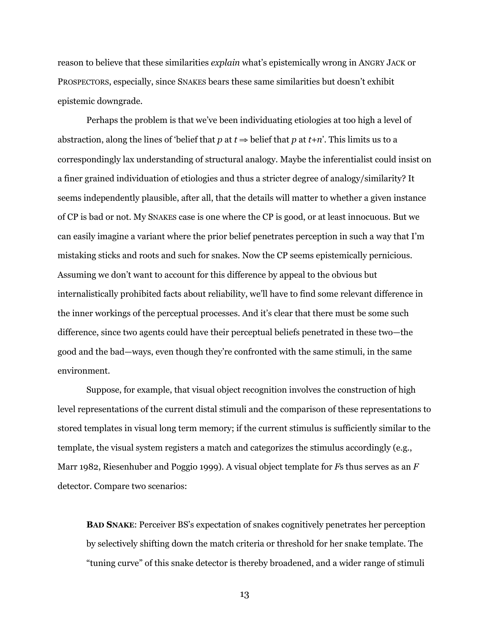reason to believe that these similarities *explain* what's epistemically wrong in ANGRY JACK or PROSPECTORS, especially, since SNAKES bears these same similarities but doesn't exhibit epistemic downgrade.

 Perhaps the problem is that we've been individuating etiologies at too high a level of abstraction, along the lines of 'belief that *p* at  $t \Rightarrow$  belief that *p* at  $t+n'$ . This limits us to a correspondingly lax understanding of structural analogy. Maybe the inferentialist could insist on a finer grained individuation of etiologies and thus a stricter degree of analogy/similarity? It seems independently plausible, after all, that the details will matter to whether a given instance of CP is bad or not. My SNAKES case is one where the CP is good, or at least innocuous. But we can easily imagine a variant where the prior belief penetrates perception in such a way that I'm mistaking sticks and roots and such for snakes. Now the CP seems epistemically pernicious. Assuming we don't want to account for this difference by appeal to the obvious but internalistically prohibited facts about reliability, we'll have to find some relevant difference in the inner workings of the perceptual processes. And it's clear that there must be some such difference, since two agents could have their perceptual beliefs penetrated in these two—the good and the bad—ways, even though they're confronted with the same stimuli, in the same environment.

 Suppose, for example, that visual object recognition involves the construction of high level representations of the current distal stimuli and the comparison of these representations to stored templates in visual long term memory; if the current stimulus is sufficiently similar to the template, the visual system registers a match and categorizes the stimulus accordingly (e.g., Marr 1982, Riesenhuber and Poggio 1999). A visual object template for *F*s thus serves as an *F* detector. Compare two scenarios:

**BAD SNAKE**: Perceiver BS's expectation of snakes cognitively penetrates her perception by selectively shifting down the match criteria or threshold for her snake template. The "tuning curve" of this snake detector is thereby broadened, and a wider range of stimuli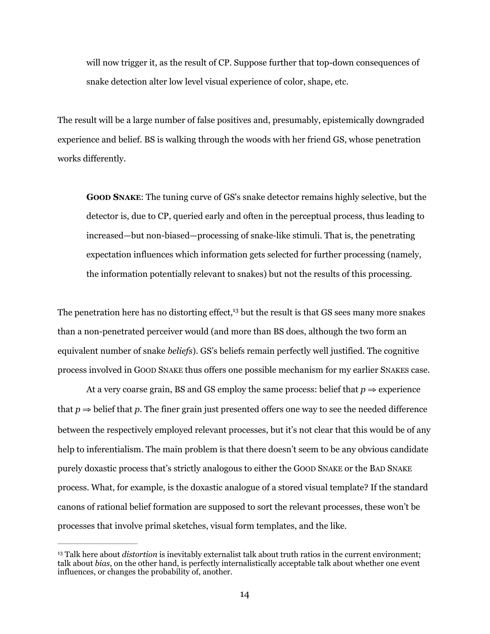will now trigger it, as the result of CP. Suppose further that top-down consequences of snake detection alter low level visual experience of color, shape, etc.

The result will be a large number of false positives and, presumably, epistemically downgraded experience and belief. BS is walking through the woods with her friend GS, whose penetration works differently.

**GOOD SNAKE**: The tuning curve of GS's snake detector remains highly selective, but the detector is, due to CP, queried early and often in the perceptual process, thus leading to increased—but non-biased—processing of snake-like stimuli. That is, the penetrating expectation influences which information gets selected for further processing (namely, the information potentially relevant to snakes) but not the results of this processing.

<span id="page-13-1"></span>The penetration here has no distorting effect[,](#page-13-0)<sup>[13](#page-13-0)</sup> but the result is that GS sees many more snakes than a non-penetrated perceiver would (and more than BS does, although the two form an equivalent number of snake *beliefs*). GS's beliefs remain perfectly well justified. The cognitive process involved in GOOD SNAKE thus offers one possible mechanism for my earlier SNAKES case.

At a very coarse grain, BS and GS employ the same process: belief that  $p \Rightarrow$  experience that  $p \Rightarrow$  belief that p. The finer grain just presented offers one way to see the needed difference between the respectively employed relevant processes, but it's not clear that this would be of any help to inferentialism. The main problem is that there doesn't seem to be any obvious candidate purely doxastic process that's strictly analogous to either the GOOD SNAKE or the BAD SNAKE process. What, for example, is the doxastic analogue of a stored visual template? If the standard canons of rational belief formation are supposed to sort the relevant processes, these won't be processes that involve primal sketches, visual form templates, and the like.

<span id="page-13-0"></span><sup>&</sup>lt;sup>[13](#page-13-1)</sup> Talk here about *distortion* is inevitably externalist talk about truth ratios in the current environment; talk about *bias*, on the other hand, is perfectly internalistically acceptable talk about whether one event influences, or changes the probability of, another.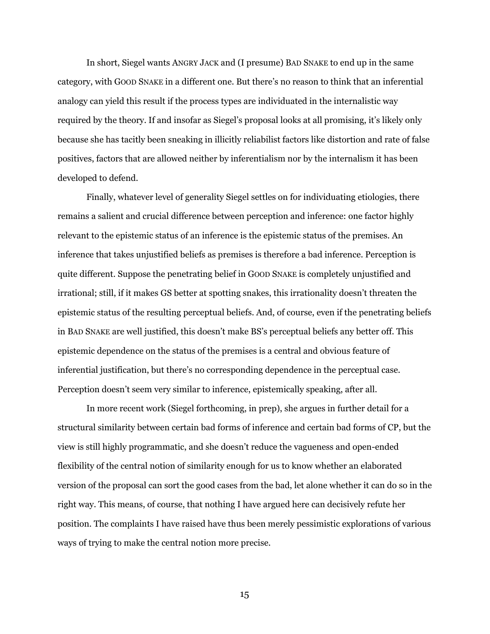In short, Siegel wants ANGRY JACK and (I presume) BAD SNAKE to end up in the same category, with GOOD SNAKE in a different one. But there's no reason to think that an inferential analogy can yield this result if the process types are individuated in the internalistic way required by the theory. If and insofar as Siegel's proposal looks at all promising, it's likely only because she has tacitly been sneaking in illicitly reliabilist factors like distortion and rate of false positives, factors that are allowed neither by inferentialism nor by the internalism it has been developed to defend.

 Finally, whatever level of generality Siegel settles on for individuating etiologies, there remains a salient and crucial difference between perception and inference: one factor highly relevant to the epistemic status of an inference is the epistemic status of the premises. An inference that takes unjustified beliefs as premises is therefore a bad inference. Perception is quite different. Suppose the penetrating belief in GOOD SNAKE is completely unjustified and irrational; still, if it makes GS better at spotting snakes, this irrationality doesn't threaten the epistemic status of the resulting perceptual beliefs. And, of course, even if the penetrating beliefs in BAD SNAKE are well justified, this doesn't make BS's perceptual beliefs any better off. This epistemic dependence on the status of the premises is a central and obvious feature of inferential justification, but there's no corresponding dependence in the perceptual case. Perception doesn't seem very similar to inference, epistemically speaking, after all.

 In more recent work (Siegel forthcoming, in prep), she argues in further detail for a structural similarity between certain bad forms of inference and certain bad forms of CP, but the view is still highly programmatic, and she doesn't reduce the vagueness and open-ended flexibility of the central notion of similarity enough for us to know whether an elaborated version of the proposal can sort the good cases from the bad, let alone whether it can do so in the right way. This means, of course, that nothing I have argued here can decisively refute her position. The complaints I have raised have thus been merely pessimistic explorations of various ways of trying to make the central notion more precise.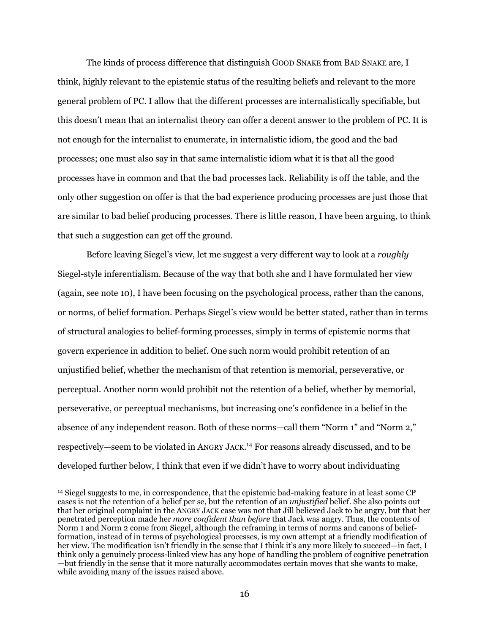The kinds of process difference that distinguish GOOD SNAKE from BAD SNAKE are, I think, highly relevant to the epistemic status of the resulting beliefs and relevant to the more general problem of PC. I allow that the different processes are internalistically specifiable, but this doesn't mean that an internalist theory can offer a decent answer to the problem of PC. It is not enough for the internalist to enumerate, in internalistic idiom, the good and the bad processes; one must also say in that same internalistic idiom what it is that all the good processes have in common and that the bad processes lack. Reliability is off the table, and the only other suggestion on offer is that the bad experience producing processes are just those that are similar to bad belief producing processes. There is little reason, I have been arguing, to think that such a suggestion can get off the ground.

 Before leaving Siegel's view, let me suggest a very different way to look at a *roughly* Siegel-style inferentialism. Because of the way that both she and I have formulated her view (again, see note 10), I have been focusing on the psychological process, rather than the canons, or norms, of belief formation. Perhaps Siegel's view would be better stated, rather than in terms of structural analogies to belief-forming processes, simply in terms of epistemic norms that govern experience in addition to belief. One such norm would prohibit retention of an unjustified belief, whether the mechanism of that retention is memorial, perseverative, or perceptual. Another norm would prohibit not the retention of a belief, whether by memorial, perseverative, or perceptual mechanisms, but increasing one's confidence in a belief in the absence of any independent reason. Both of these norms—call them "Norm 1" and "Norm 2," respectively—seem to be violated in ANGRY JACK[.](#page-15-0)<sup>[14](#page-15-0)</sup> For reasons already discussed, and to be developed further below, I think that even if we didn't have to worry about individuating

<span id="page-15-1"></span><span id="page-15-0"></span><sup>&</sup>lt;sup>14</sup>Siegel suggests to me, in correspondence, that the epistemic bad-making feature in at least some CP cases is not the retention of a belief per se, but the retention of an *unjustified* belief. She also points out that her original complaint in the ANGRY JACK case was not that Jill believed Jack to be angry, but that her penetrated perception made her *more confident than before* that Jack was angry. Thus, the contents of Norm 1 and Norm 2 come from Siegel, although the reframing in terms of norms and canons of beliefformation, instead of in terms of psychological processes, is my own attempt at a friendly modification of her view. The modification isn't friendly in the sense that I think it's any more likely to succeed—in fact, I think only a genuinely process-linked view has any hope of handling the problem of cognitive penetration —but friendly in the sense that it more naturally accommodates certain moves that she wants to make, while avoiding many of the issues raised above.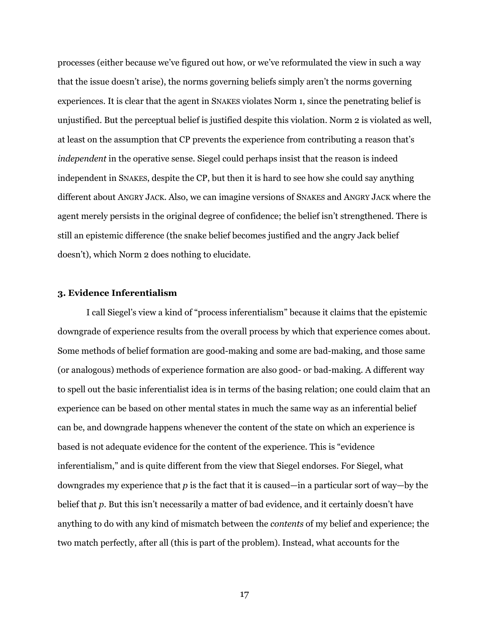processes (either because we've figured out how, or we've reformulated the view in such a way that the issue doesn't arise), the norms governing beliefs simply aren't the norms governing experiences. It is clear that the agent in SNAKES violates Norm 1, since the penetrating belief is unjustified. But the perceptual belief is justified despite this violation. Norm 2 is violated as well, at least on the assumption that CP prevents the experience from contributing a reason that's *independent* in the operative sense. Siegel could perhaps insist that the reason is indeed independent in SNAKES, despite the CP, but then it is hard to see how she could say anything different about ANGRY JACK. Also, we can imagine versions of SNAKES and ANGRY JACK where the agent merely persists in the original degree of confidence; the belief isn't strengthened. There is still an epistemic difference (the snake belief becomes justified and the angry Jack belief doesn't), which Norm 2 does nothing to elucidate.

# **3. Evidence Inferentialism**

 I call Siegel's view a kind of "process inferentialism" because it claims that the epistemic downgrade of experience results from the overall process by which that experience comes about. Some methods of belief formation are good-making and some are bad-making, and those same (or analogous) methods of experience formation are also good- or bad-making. A different way to spell out the basic inferentialist idea is in terms of the basing relation; one could claim that an experience can be based on other mental states in much the same way as an inferential belief can be, and downgrade happens whenever the content of the state on which an experience is based is not adequate evidence for the content of the experience. This is "evidence inferentialism," and is quite different from the view that Siegel endorses. For Siegel, what downgrades my experience that *p* is the fact that it is caused—in a particular sort of way—by the belief that *p*. But this isn't necessarily a matter of bad evidence, and it certainly doesn't have anything to do with any kind of mismatch between the *contents* of my belief and experience; the two match perfectly, after all (this is part of the problem). Instead, what accounts for the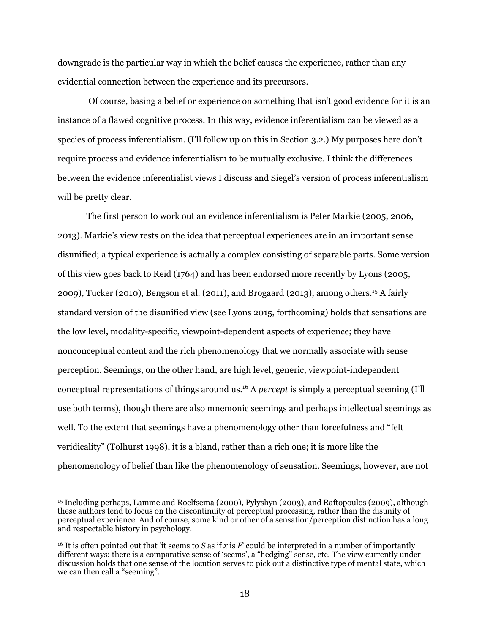downgrade is the particular way in which the belief causes the experience, rather than any evidential connection between the experience and its precursors.

 Of course, basing a belief or experience on something that isn't good evidence for it is an instance of a flawed cognitive process. In this way, evidence inferentialism can be viewed as a species of process inferentialism. (I'll follow up on this in Section 3.2.) My purposes here don't require process and evidence inferentialism to be mutually exclusive. I think the differences between the evidence inferentialist views I discuss and Siegel's version of process inferentialism will be pretty clear.

<span id="page-17-2"></span> The first person to work out an evidence inferentialism is Peter Markie (2005, 2006, 2013). Markie's view rests on the idea that perceptual experiences are in an important sense disunified; a typical experience is actually a complex consisting of separable parts. Some version of this view goes back to Reid (1764) and has been endorsed more recently by Lyons (2005, 2009), Tucker (2010), Bengson et al[.](#page-17-0) (2011), and Brogaard (2013), among others.<sup>[15](#page-17-0)</sup> A fairly standard version of the disunified view (see Lyons 2015, forthcoming) holds that sensations are the low level, modality-specific, viewpoint-dependent aspects of experience; they have nonconceptual content and the rich phenomenology that we normally associate with sense perception. Seemings, on the other hand, are high level, generic, viewpoint-independent conceptual representations of things around us.<sup>[16](#page-17-1)</sup> A *percept* is simply a perceptual seeming (I'll use both terms), though there are also mnemonic seemings and perhaps intellectual seemings as well. To the extent that seemings have a phenomenology other than forcefulness and "felt veridicality" (Tolhurst 1998), it is a bland, rather than a rich one; it is more like the phenomenology of belief than like the phenomenology of sensation. Seemings, however, are not

<span id="page-17-3"></span><span id="page-17-0"></span><sup>&</sup>lt;sup>[15](#page-17-2)</sup> Including perhaps, Lamme and Roelfsema (2000), Pylyshyn (2003), and Raftopoulos (2009), although these authors tend to focus on the discontinuity of perceptual processing, rather than the disunity of perceptual experience. And of course, some kind or other of a sensation/perception distinction has a long and respectable history in psychology.

<span id="page-17-1"></span><sup>&</sup>lt;sup>[16](#page-17-3)</sup> It is often pointed out that 'it seems to *S* as if *x* is *F*' could be interpreted in a number of importantly different ways: there is a comparative sense of 'seems', a "hedging" sense, etc. The view currently under discussion holds that one sense of the locution serves to pick out a distinctive type of mental state, which we can then call a "seeming".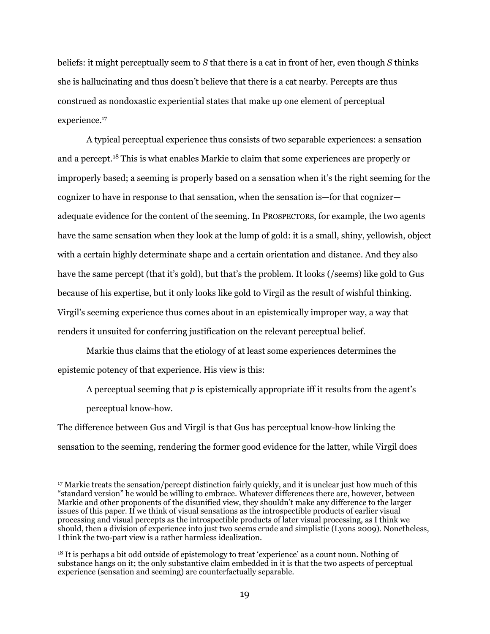beliefs: it might perceptually seem to *S* that there is a cat in front of her, even though *S* thinks she is hallucinating and thus doesn't believe that there is a cat nearby. Percepts are thus construed as nondoxastic experiential states that make up one element of perceptual experience[.](#page-18-0)<sup>[17](#page-18-0)</sup>

<span id="page-18-3"></span><span id="page-18-2"></span> A typical perceptual experience thus consists of two separable experiences: a sensation and a percept.<sup>[18](#page-18-1)</sup> This is what enables Markie to claim that some experiences are properly or improperly based; a seeming is properly based on a sensation when it's the right seeming for the cognizer to have in response to that sensation, when the sensation is—for that cognizer adequate evidence for the content of the seeming. In PROSPECTORS, for example, the two agents have the same sensation when they look at the lump of gold: it is a small, shiny, yellowish, object with a certain highly determinate shape and a certain orientation and distance. And they also have the same percept (that it's gold), but that's the problem. It looks (/seems) like gold to Gus because of his expertise, but it only looks like gold to Virgil as the result of wishful thinking. Virgil's seeming experience thus comes about in an epistemically improper way, a way that renders it unsuited for conferring justification on the relevant perceptual belief.

 Markie thus claims that the etiology of at least some experiences determines the epistemic potency of that experience. His view is this:

A perceptual seeming that *p* is epistemically appropriate iff it results from the agent's perceptual know-how.

The difference between Gus and Virgil is that Gus has perceptual know-how linking the sensation to the seeming, rendering the former good evidence for the latter, while Virgil does

<span id="page-18-0"></span><sup>&</sup>lt;sup>[17](#page-18-2)</sup> Markie treats the sensation/percept distinction fairly quickly, and it is unclear just how much of this "standard version" he would be willing to embrace. Whatever differences there are, however, between Markie and other proponents of the disunified view, they shouldn't make any difference to the larger issues of this paper. If we think of visual sensations as the introspectible products of earlier visual processing and visual percepts as the introspectible products of later visual processing, as I think we should, then a division of experience into just two seems crude and simplistic (Lyons 2009). Nonetheless, I think the two-part view is a rather harmless idealization.

<span id="page-18-1"></span><sup>&</sup>lt;sup>[18](#page-18-3)</sup> It is perhaps a bit odd outside of epistemology to treat 'experience' as a count noun. Nothing of substance hangs on it; the only substantive claim embedded in it is that the two aspects of perceptual experience (sensation and seeming) are counterfactually separable.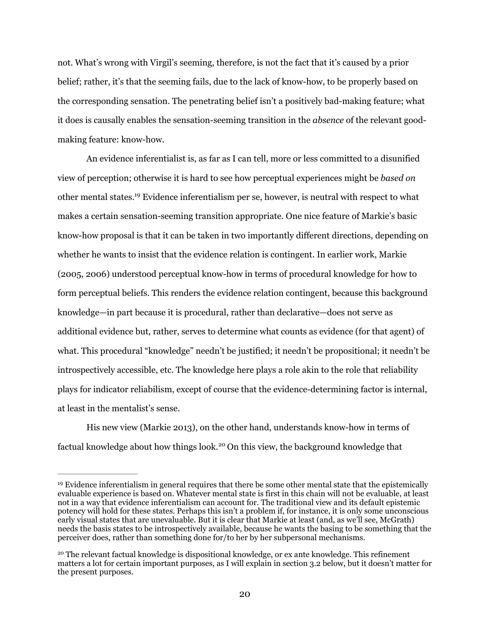not. What's wrong with Virgil's seeming, therefore, is not the fact that it's caused by a prior belief; rather, it's that the seeming fails, due to the lack of know-how, to be properly based on the corresponding sensation. The penetrating belief isn't a positively bad-making feature; what it does is causally enables the sensation-seeming transition in the *absence* of the relevant goodmaking feature: know-how.

<span id="page-19-2"></span> An evidence inferentialist is, as far as I can tell, more or less committed to a disunified view of perception; otherwise it is hard to see how perceptual experiences might be *based on*  other mental states[.](#page-19-0)<sup>[19](#page-19-0)</sup> Evidence inferentialism per se, however, is neutral with respect to what makes a certain sensation-seeming transition appropriate. One nice feature of Markie's basic know-how proposal is that it can be taken in two importantly different directions, depending on whether he wants to insist that the evidence relation is contingent. In earlier work, Markie (2005, 2006) understood perceptual know-how in terms of procedural knowledge for how to form perceptual beliefs. This renders the evidence relation contingent, because this background knowledge—in part because it is procedural, rather than declarative—does not serve as additional evidence but, rather, serves to determine what counts as evidence (for that agent) of what. This procedural "knowledge" needn't be justified; it needn't be propositional; it needn't be introspectively accessible, etc. The knowledge here plays a role akin to the role that reliability plays for indicator reliabilism, except of course that the evidence-determining factor is internal, at least in the mentalist's sense.

<span id="page-19-3"></span> His new view (Markie 2013), on the other hand, understands know-how in terms of factual knowledge about how things look.<sup>[20](#page-19-1)</sup> On this view, the background knowledge that

<span id="page-19-0"></span><sup>&</sup>lt;sup>19</sup>Evidence inferentialism in general requires that there be some other mental state that the epistemically evaluable experience is based on. Whatever mental state is first in this chain will not be evaluable, at least not in a way that evidence inferentialism can account for. The traditional view and its default epistemic potency will hold for these states. Perhaps this isn't a problem if, for instance, it is only some unconscious early visual states that are unevaluable. But it is clear that Markie at least (and, as we'll see, McGrath) needs the basis states to be introspectively available, because he wants the basing to be something that the perceiver does, rather than something done for/to her by her subpersonal mechanisms.

<span id="page-19-1"></span><sup>&</sup>lt;sup>[20](#page-19-3)</sup> The relevant factual knowledge is dispositional knowledge, or ex ante knowledge. This refinement matters a lot for certain important purposes, as I will explain in section 3.2 below, but it doesn't matter for the present purposes.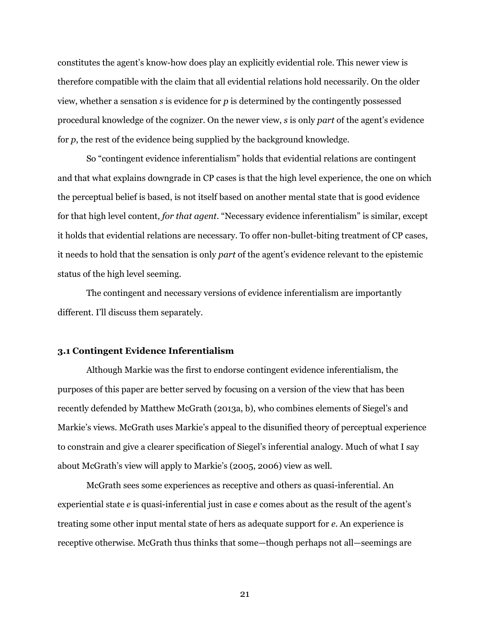constitutes the agent's know-how does play an explicitly evidential role. This newer view is therefore compatible with the claim that all evidential relations hold necessarily. On the older view, whether a sensation *s* is evidence for *p* is determined by the contingently possessed procedural knowledge of the cognizer. On the newer view, *s* is only *part* of the agent's evidence for *p*, the rest of the evidence being supplied by the background knowledge.

 So "contingent evidence inferentialism" holds that evidential relations are contingent and that what explains downgrade in CP cases is that the high level experience, the one on which the perceptual belief is based, is not itself based on another mental state that is good evidence for that high level content, *for that agent*. "Necessary evidence inferentialism" is similar, except it holds that evidential relations are necessary. To offer non-bullet-biting treatment of CP cases, it needs to hold that the sensation is only *part* of the agent's evidence relevant to the epistemic status of the high level seeming.

 The contingent and necessary versions of evidence inferentialism are importantly different. I'll discuss them separately.

#### **3.1 Contingent Evidence Inferentialism**

 Although Markie was the first to endorse contingent evidence inferentialism, the purposes of this paper are better served by focusing on a version of the view that has been recently defended by Matthew McGrath (2013a, b), who combines elements of Siegel's and Markie's views. McGrath uses Markie's appeal to the disunified theory of perceptual experience to constrain and give a clearer specification of Siegel's inferential analogy. Much of what I say about McGrath's view will apply to Markie's (2005, 2006) view as well.

 McGrath sees some experiences as receptive and others as quasi-inferential. An experiential state *e* is quasi-inferential just in case *e* comes about as the result of the agent's treating some other input mental state of hers as adequate support for *e*. An experience is receptive otherwise. McGrath thus thinks that some—though perhaps not all—seemings are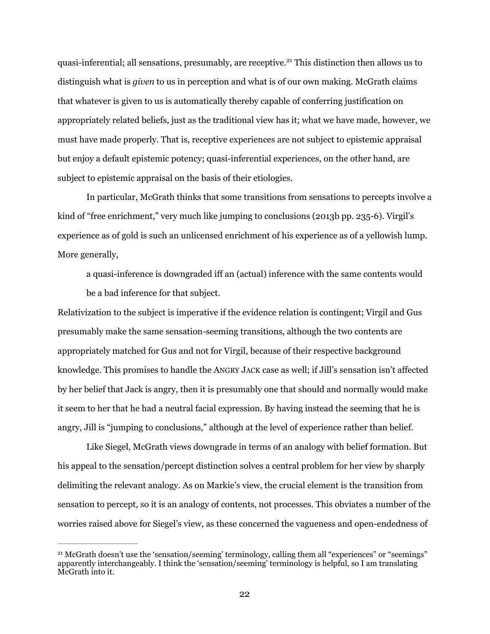<span id="page-21-1"></span>quasi-inferential; all sensations, presumably, are receptive[.](#page-21-0)<sup>[21](#page-21-0)</sup> This distinction then allows us to distinguish what is *given* to us in perception and what is of our own making. McGrath claims that whatever is given to us is automatically thereby capable of conferring justification on appropriately related beliefs, just as the traditional view has it; what we have made, however, we must have made properly. That is, receptive experiences are not subject to epistemic appraisal but enjoy a default epistemic potency; quasi-inferential experiences, on the other hand, are subject to epistemic appraisal on the basis of their etiologies.

 In particular, McGrath thinks that some transitions from sensations to percepts involve a kind of "free enrichment," very much like jumping to conclusions (2013b pp. 235-6). Virgil's experience as of gold is such an unlicensed enrichment of his experience as of a yellowish lump. More generally,

a quasi-inference is downgraded iff an (actual) inference with the same contents would be a bad inference for that subject.

Relativization to the subject is imperative if the evidence relation is contingent; Virgil and Gus presumably make the same sensation-seeming transitions, although the two contents are appropriately matched for Gus and not for Virgil, because of their respective background knowledge. This promises to handle the ANGRY JACK case as well; if Jill's sensation isn't affected by her belief that Jack is angry, then it is presumably one that should and normally would make it seem to her that he had a neutral facial expression. By having instead the seeming that he is angry, Jill is "jumping to conclusions," although at the level of experience rather than belief.

 Like Siegel, McGrath views downgrade in terms of an analogy with belief formation. But his appeal to the sensation/percept distinction solves a central problem for her view by sharply delimiting the relevant analogy. As on Markie's view, the crucial element is the transition from sensation to percept, so it is an analogy of contents, not processes. This obviates a number of the worries raised above for Siegel's view, as these concerned the vagueness and open-endedness of

<span id="page-21-0"></span><sup>&</sup>lt;sup>21</sup>McGrath doesn't use the 'sensation/seeming' terminology, calling them all "experiences" or "seemings" apparently interchangeably. I think the 'sensation/seeming' terminology is helpful, so I am translating McGrath into it.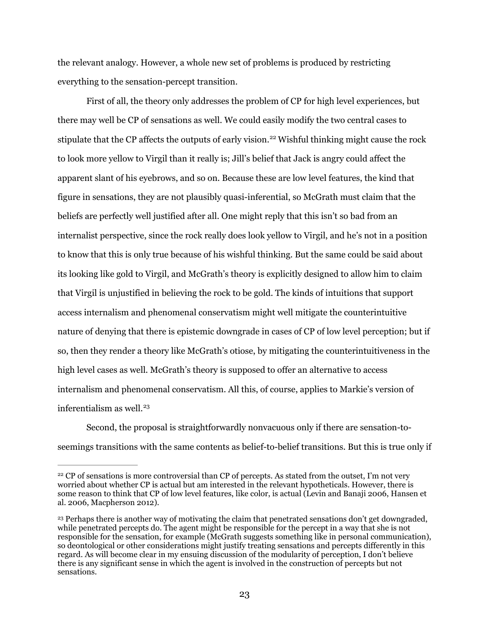the relevant analogy. However, a whole new set of problems is produced by restricting everything to the sensation-percept transition.

<span id="page-22-2"></span> First of all, the theory only addresses the problem of CP for high level experiences, but there may well be CP of sensations as well. We could easily modify the two central cases to stipulatethat the CP affects the outputs of early vision.<sup>[22](#page-22-0)</sup> Wishful thinking might cause the rock to look more yellow to Virgil than it really is; Jill's belief that Jack is angry could affect the apparent slant of his eyebrows, and so on. Because these are low level features, the kind that figure in sensations, they are not plausibly quasi-inferential, so McGrath must claim that the beliefs are perfectly well justified after all. One might reply that this isn't so bad from an internalist perspective, since the rock really does look yellow to Virgil, and he's not in a position to know that this is only true because of his wishful thinking. But the same could be said about its looking like gold to Virgil, and McGrath's theory is explicitly designed to allow him to claim that Virgil is unjustified in believing the rock to be gold. The kinds of intuitions that support access internalism and phenomenal conservatism might well mitigate the counterintuitive nature of denying that there is epistemic downgrade in cases of CP of low level perception; but if so, then they render a theory like McGrath's otiose, by mitigating the counterintuitiveness in the high level cases as well. McGrath's theory is supposed to offer an alternative to access internalism and phenomenal conservatism. All this, of course, applies to Markie's version of inferentialism as well. $23$ 

<span id="page-22-3"></span> Second, the proposal is straightforwardly nonvacuous only if there are sensation-toseemings transitions with the same contents as belief-to-belief transitions. But this is true only if

<span id="page-22-0"></span><sup>&</sup>lt;sup>[22](#page-22-2)</sup> CP of sensations is more controversial than CP of percepts. As stated from the outset, I'm not very worried about whether CP is actual but am interested in the relevant hypotheticals. However, there is some reason to think that CP of low level features, like color, is actual (Levin and Banaji 2006, Hansen et al. 2006, Macpherson 2012).

<span id="page-22-1"></span><sup>&</sup>lt;sup>[23](#page-22-3)</sup> Perhaps there is another way of motivating the claim that penetrated sensations don't get downgraded, while penetrated percepts do. The agent might be responsible for the percept in a way that she is not responsible for the sensation, for example (McGrath suggests something like in personal communication), so deontological or other considerations might justify treating sensations and percepts differently in this regard. As will become clear in my ensuing discussion of the modularity of perception, I don't believe there is any significant sense in which the agent is involved in the construction of percepts but not sensations.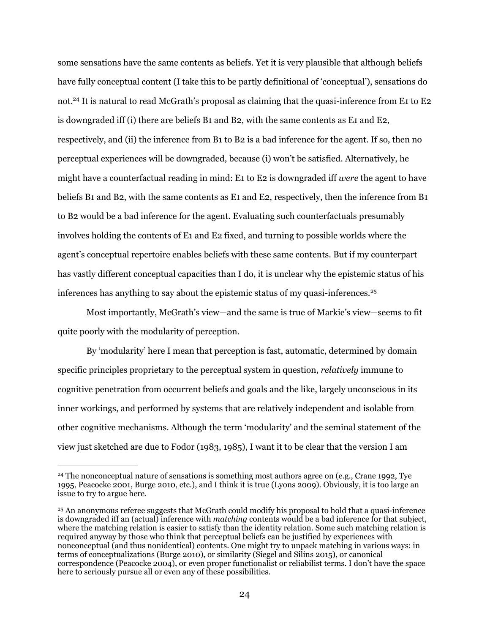<span id="page-23-2"></span>some sensations have the same contents as beliefs. Yet it is very plausible that although beliefs have fully conceptual content (I take this to be partly definitional of 'conceptual'), sensations do not[.](#page-23-0)<sup>[24](#page-23-0)</sup> It is natural to read McGrath's proposal as claiming that the quasi-inference from E1 to E2 is downgraded iff (i) there are beliefs B1 and B2, with the same contents as E1 and E2, respectively, and (ii) the inference from B1 to B2 is a bad inference for the agent. If so, then no perceptual experiences will be downgraded, because (i) won't be satisfied. Alternatively, he might have a counterfactual reading in mind: E1 to E2 is downgraded iff *were* the agent to have beliefs B1 and B2, with the same contents as E1 and E2, respectively, then the inference from B1 to B2 would be a bad inference for the agent. Evaluating such counterfactuals presumably involves holding the contents of E1 and E2 fixed, and turning to possible worlds where the agent's conceptual repertoire enables beliefs with these same contents. But if my counterpart has vastly different conceptual capacities than I do, it is unclear why the epistemic status of his inferences has anything to say about the epistemic status of my quasi-inferences.<sup>[25](#page-23-1)</sup>

<span id="page-23-3"></span> Most importantly, McGrath's view—and the same is true of Markie's view—seems to fit quite poorly with the modularity of perception.

 By 'modularity' here I mean that perception is fast, automatic, determined by domain specific principles proprietary to the perceptual system in question, *relatively* immune to cognitive penetration from occurrent beliefs and goals and the like, largely unconscious in its inner workings, and performed by systems that are relatively independent and isolable from other cognitive mechanisms. Although the term 'modularity' and the seminal statement of the view just sketched are due to Fodor (1983, 1985), I want it to be clear that the version I am

<span id="page-23-0"></span><sup>&</sup>lt;sup>[24](#page-23-2)</sup> The nonconceptual nature of sensations is something most authors agree on (e.g., Crane 1992, Tye 1995, Peacocke 2001, Burge 2010, etc.), and I think it is true (Lyons 2009). Obviously, it is too large an issue to try to argue here.

<span id="page-23-1"></span><sup>&</sup>lt;sup>[25](#page-23-3)</sup> An anonymous referee suggests that McGrath could modify his proposal to hold that a quasi-inference is downgraded iff an (actual) inference with *matching* contents would be a bad inference for that subject, where the matching relation is easier to satisfy than the identity relation. Some such matching relation is required anyway by those who think that perceptual beliefs can be justified by experiences with nonconceptual (and thus nonidentical) contents. One might try to unpack matching in various ways: in terms of conceptualizations (Burge 2010), or similarity (Siegel and Silins 2015), or canonical correspondence (Peacocke 2004), or even proper functionalist or reliabilist terms. I don't have the space here to seriously pursue all or even any of these possibilities.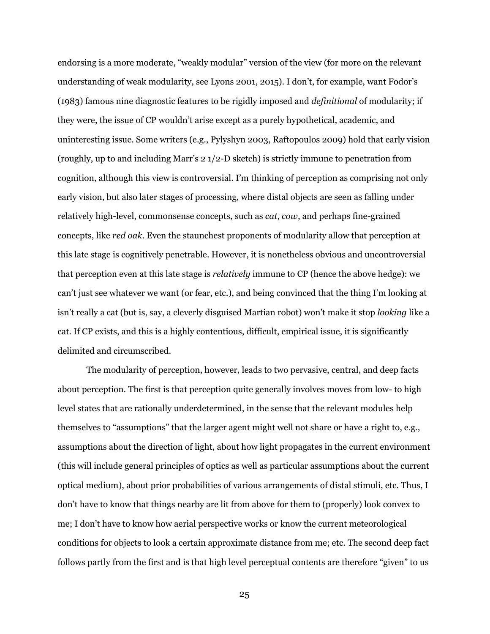endorsing is a more moderate, "weakly modular" version of the view (for more on the relevant understanding of weak modularity, see Lyons 2001, 2015). I don't, for example, want Fodor's (1983) famous nine diagnostic features to be rigidly imposed and *definitional* of modularity; if they were, the issue of CP wouldn't arise except as a purely hypothetical, academic, and uninteresting issue. Some writers (e.g., Pylyshyn 2003, Raftopoulos 2009) hold that early vision (roughly, up to and including Marr's 2 1/2-D sketch) is strictly immune to penetration from cognition, although this view is controversial. I'm thinking of perception as comprising not only early vision, but also later stages of processing, where distal objects are seen as falling under relatively high-level, commonsense concepts, such as *cat*, *cow*, and perhaps fine-grained concepts, like *red oak*. Even the staunchest proponents of modularity allow that perception at this late stage is cognitively penetrable. However, it is nonetheless obvious and uncontroversial that perception even at this late stage is *relatively* immune to CP (hence the above hedge): we can't just see whatever we want (or fear, etc.), and being convinced that the thing I'm looking at isn't really a cat (but is, say, a cleverly disguised Martian robot) won't make it stop *looking* like a cat. If CP exists, and this is a highly contentious, difficult, empirical issue, it is significantly delimited and circumscribed.

 The modularity of perception, however, leads to two pervasive, central, and deep facts about perception. The first is that perception quite generally involves moves from low- to high level states that are rationally underdetermined, in the sense that the relevant modules help themselves to "assumptions" that the larger agent might well not share or have a right to, e.g., assumptions about the direction of light, about how light propagates in the current environment (this will include general principles of optics as well as particular assumptions about the current optical medium), about prior probabilities of various arrangements of distal stimuli, etc. Thus, I don't have to know that things nearby are lit from above for them to (properly) look convex to me; I don't have to know how aerial perspective works or know the current meteorological conditions for objects to look a certain approximate distance from me; etc. The second deep fact follows partly from the first and is that high level perceptual contents are therefore "given" to us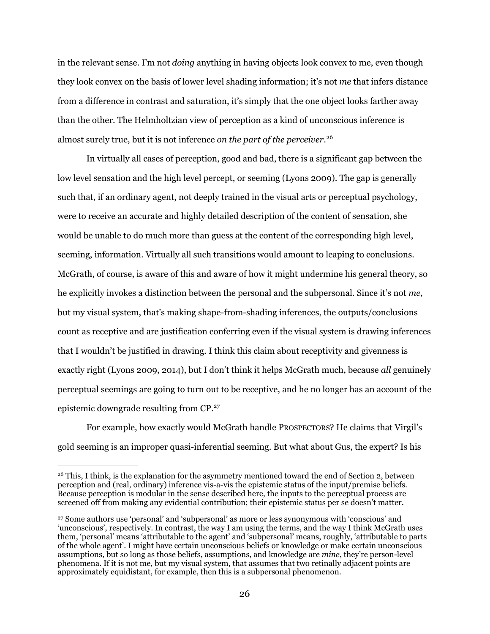in the relevant sense. I'm not *doing* anything in having objects look convex to me, even though they look convex on the basis of lower level shading information; it's not *me* that infers distance from a difference in contrast and saturation, it's simply that the one object looks farther away than the other. The Helmholtzian view of perception as a kind of unconscious inference is almost surely true, but it is not inference *on the part of the perceiver*. [26](#page-25-0)

<span id="page-25-2"></span> In virtually all cases of perception, good and bad, there is a significant gap between the low level sensation and the high level percept, or seeming (Lyons 2009). The gap is generally such that, if an ordinary agent, not deeply trained in the visual arts or perceptual psychology, were to receive an accurate and highly detailed description of the content of sensation, she would be unable to do much more than guess at the content of the corresponding high level, seeming, information. Virtually all such transitions would amount to leaping to conclusions. McGrath, of course, is aware of this and aware of how it might undermine his general theory, so he explicitly invokes a distinction between the personal and the subpersonal. Since it's not *me*, but my visual system, that's making shape-from-shading inferences, the outputs/conclusions count as receptive and are justification conferring even if the visual system is drawing inferences that I wouldn't be justified in drawing. I think this claim about receptivity and givenness is exactly right (Lyons 2009, 2014), but I don't think it helps McGrath much, because *all* genuinely perceptual seemings are going to turn out to be receptive, and he no longer has an account of the epistemic downgrade resulting from CP.[27](#page-25-1)

<span id="page-25-3"></span> For example, how exactly would McGrath handle PROSPECTORS? He claims that Virgil's gold seeming is an improper quasi-inferential seeming. But what about Gus, the expert? Is his

<span id="page-25-0"></span> $26$  This, I think, is the explanation for the asymmetry mentioned toward the end of Section 2, between perception and (real, ordinary) inference vis-a-vis the epistemic status of the input/premise beliefs. Because perception is modular in the sense described here, the inputs to the perceptual process are screened off from making any evidential contribution; their epistemic status per se doesn't matter.

<span id="page-25-1"></span><sup>&</sup>lt;sup>[27](#page-25-3)</sup> Some authors use 'personal' and 'subpersonal' as more or less synonymous with 'conscious' and 'unconscious', respectively. In contrast, the way I am using the terms, and the way I think McGrath uses them, 'personal' means 'attributable to the agent' and 'subpersonal' means, roughly, 'attributable to parts of the whole agent'. I might have certain unconscious beliefs or knowledge or make certain unconscious assumptions, but so long as those beliefs, assumptions, and knowledge are *mine*, they're person-level phenomena. If it is not me, but my visual system, that assumes that two retinally adjacent points are approximately equidistant, for example, then this is a subpersonal phenomenon.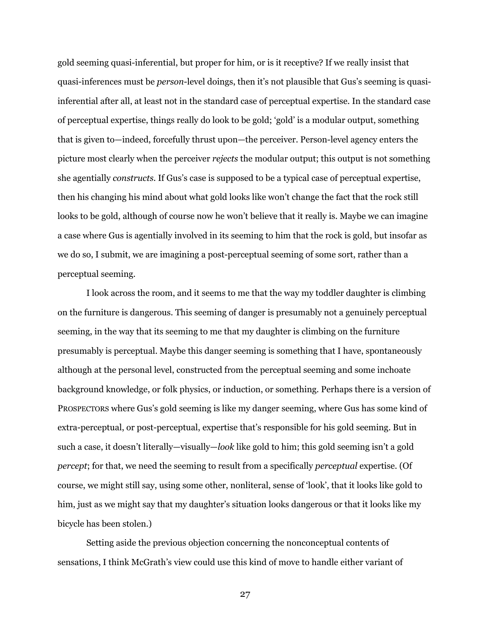gold seeming quasi-inferential, but proper for him, or is it receptive? If we really insist that quasi-inferences must be *person*-level doings, then it's not plausible that Gus's seeming is quasiinferential after all, at least not in the standard case of perceptual expertise. In the standard case of perceptual expertise, things really do look to be gold; 'gold' is a modular output, something that is given to—indeed, forcefully thrust upon—the perceiver. Person-level agency enters the picture most clearly when the perceiver *rejects* the modular output; this output is not something she agentially *constructs*. If Gus's case is supposed to be a typical case of perceptual expertise, then his changing his mind about what gold looks like won't change the fact that the rock still looks to be gold, although of course now he won't believe that it really is. Maybe we can imagine a case where Gus is agentially involved in its seeming to him that the rock is gold, but insofar as we do so, I submit, we are imagining a post-perceptual seeming of some sort, rather than a perceptual seeming.

 I look across the room, and it seems to me that the way my toddler daughter is climbing on the furniture is dangerous. This seeming of danger is presumably not a genuinely perceptual seeming, in the way that its seeming to me that my daughter is climbing on the furniture presumably is perceptual. Maybe this danger seeming is something that I have, spontaneously although at the personal level, constructed from the perceptual seeming and some inchoate background knowledge, or folk physics, or induction, or something. Perhaps there is a version of PROSPECTORS where Gus's gold seeming is like my danger seeming, where Gus has some kind of extra-perceptual, or post-perceptual, expertise that's responsible for his gold seeming. But in such a case, it doesn't literally—visually—*look* like gold to him; this gold seeming isn't a gold *percept*; for that, we need the seeming to result from a specifically *perceptual* expertise. (Of course, we might still say, using some other, nonliteral, sense of 'look', that it looks like gold to him, just as we might say that my daughter's situation looks dangerous or that it looks like my bicycle has been stolen.)

 Setting aside the previous objection concerning the nonconceptual contents of sensations, I think McGrath's view could use this kind of move to handle either variant of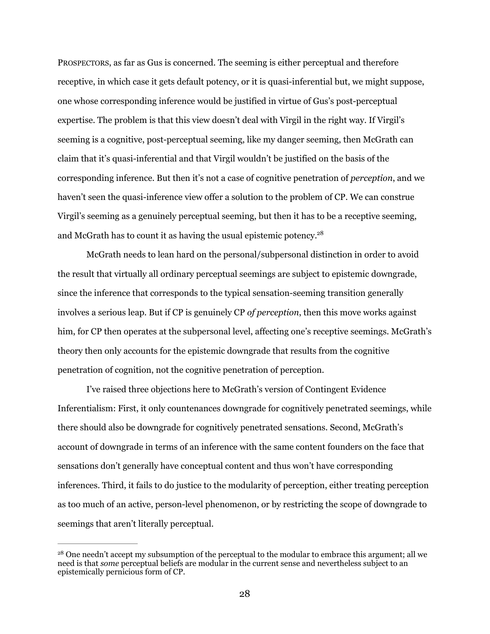PROSPECTORS, as far as Gus is concerned. The seeming is either perceptual and therefore receptive, in which case it gets default potency, or it is quasi-inferential but, we might suppose, one whose corresponding inference would be justified in virtue of Gus's post-perceptual expertise. The problem is that this view doesn't deal with Virgil in the right way. If Virgil's seeming is a cognitive, post-perceptual seeming, like my danger seeming, then McGrath can claim that it's quasi-inferential and that Virgil wouldn't be justified on the basis of the corresponding inference. But then it's not a case of cognitive penetration of *perception*, and we haven't seen the quasi-inference view offer a solution to the problem of CP. We can construe Virgil's seeming as a genuinely perceptual seeming, but then it has to be a receptive seeming, and McGrath has to count it as having the usual epistemic potency.<sup>28</sup>

<span id="page-27-1"></span> McGrath needs to lean hard on the personal/subpersonal distinction in order to avoid the result that virtually all ordinary perceptual seemings are subject to epistemic downgrade, since the inference that corresponds to the typical sensation-seeming transition generally involves a serious leap. But if CP is genuinely CP *of perception*, then this move works against him, for CP then operates at the subpersonal level, affecting one's receptive seemings. McGrath's theory then only accounts for the epistemic downgrade that results from the cognitive penetration of cognition, not the cognitive penetration of perception.

 I've raised three objections here to McGrath's version of Contingent Evidence Inferentialism: First, it only countenances downgrade for cognitively penetrated seemings, while there should also be downgrade for cognitively penetrated sensations. Second, McGrath's account of downgrade in terms of an inference with the same content founders on the face that sensations don't generally have conceptual content and thus won't have corresponding inferences. Third, it fails to do justice to the modularity of perception, either treating perception as too much of an active, person-level phenomenon, or by restricting the scope of downgrade to seemings that aren't literally perceptual.

<span id="page-27-0"></span><sup>&</sup>lt;sup>28</sup>One needn't accept my subsumption of the perceptual to the modular to embrace this argument; all we need is that *some* perceptual beliefs are modular in the current sense and nevertheless subject to an epistemically pernicious form of CP.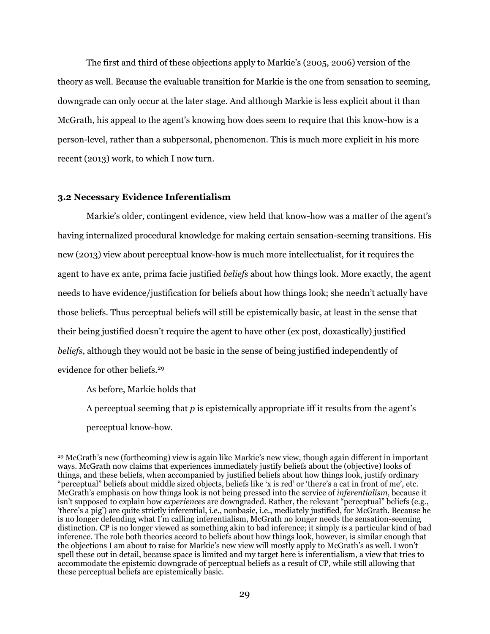The first and third of these objections apply to Markie's (2005, 2006) version of the theory as well. Because the evaluable transition for Markie is the one from sensation to seeming, downgrade can only occur at the later stage. And although Markie is less explicit about it than McGrath, his appeal to the agent's knowing how does seem to require that this know-how is a person-level, rather than a subpersonal, phenomenon. This is much more explicit in his more recent (2013) work, to which I now turn.

### **3.2 Necessary Evidence Inferentialism**

 Markie's older, contingent evidence, view held that know-how was a matter of the agent's having internalized procedural knowledge for making certain sensation-seeming transitions. His new (2013) view about perceptual know-how is much more intellectualist, for it requires the agent to have ex ante, prima facie justified *beliefs* about how things look. More exactly, the agent needs to have evidence/justification for beliefs about how things look; she needn't actually have those beliefs. Thus perceptual beliefs will still be epistemically basic, at least in the sense that their being justified doesn't require the agent to have other (ex post, doxastically) justified *beliefs*, although they would not be basic in the sense of being justified independently of evidence for other beliefs.<sup>[29](#page-28-0)</sup>

<span id="page-28-1"></span>As before, Markie holds that

A perceptual seeming that *p* is epistemically appropriate iff it results from the agent's perceptual know-how.

<span id="page-28-0"></span><sup>&</sup>lt;sup>29</sup>McGrath's new (forthcoming) view is again like Markie's new view, though again different in important ways. McGrath now claims that experiences immediately justify beliefs about the (objective) looks of things, and these beliefs, when accompanied by justified beliefs about how things look, justify ordinary "perceptual" beliefs about middle sized objects, beliefs like 'x is red' or 'there's a cat in front of me', etc. McGrath's emphasis on how things look is not being pressed into the service of *inferentialism*, because it isn't supposed to explain how *experiences* are downgraded. Rather, the relevant "perceptual" beliefs (e.g., 'there's a pig') are quite strictly inferential, i.e., nonbasic, i.e., mediately justified, for McGrath. Because he is no longer defending what I'm calling inferentialism, McGrath no longer needs the sensation-seeming distinction. CP is no longer viewed as something akin to bad inference; it simply *is* a particular kind of bad inference. The role both theories accord to beliefs about how things look, however, is similar enough that the objections I am about to raise for Markie's new view will mostly apply to McGrath's as well. I won't spell these out in detail, because space is limited and my target here is inferentialism, a view that tries to accommodate the epistemic downgrade of perceptual beliefs as a result of CP, while still allowing that these perceptual beliefs are epistemically basic.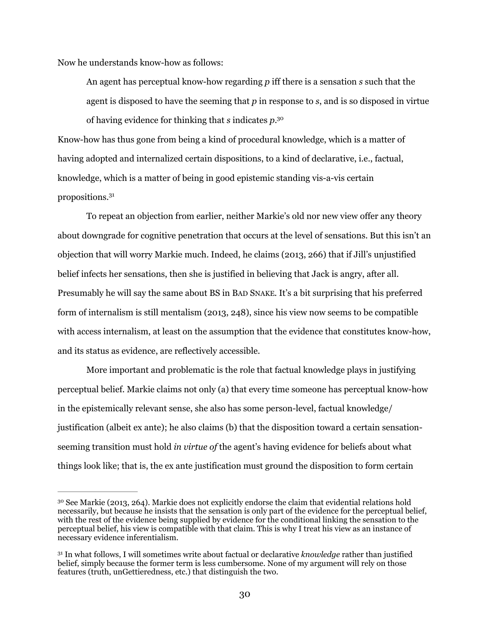Now he understands know-how as follows:

<span id="page-29-2"></span>An agent has perceptual know-how regarding *p* iff there is a sensation *s* such that the agent is disposed to have the seeming that *p* in response to *s*, and is so disposed in virtue of having evidence for thinking that *s* indicates *p*. [30](#page-29-0)

Know-how has thus gone from being a kind of procedural knowledge, which is a matter of having adopted and internalized certain dispositions, to a kind of declarative, i.e., factual, knowledge, which is a matter of being in good epistemic standing vis-a-vis certain propositions[.31](#page-29-1)

<span id="page-29-3"></span> To repeat an objection from earlier, neither Markie's old nor new view offer any theory about downgrade for cognitive penetration that occurs at the level of sensations. But this isn't an objection that will worry Markie much. Indeed, he claims (2013, 266) that if Jill's unjustified belief infects her sensations, then she is justified in believing that Jack is angry, after all. Presumably he will say the same about BS in BAD SNAKE. It's a bit surprising that his preferred form of internalism is still mentalism (2013, 248), since his view now seems to be compatible with access internalism, at least on the assumption that the evidence that constitutes know-how, and its status as evidence, are reflectively accessible.

 More important and problematic is the role that factual knowledge plays in justifying perceptual belief. Markie claims not only (a) that every time someone has perceptual know-how in the epistemically relevant sense, she also has some person-level, factual knowledge/ justification (albeit ex ante); he also claims (b) that the disposition toward a certain sensationseeming transition must hold *in virtue of* the agent's having evidence for beliefs about what things look like; that is, the ex ante justification must ground the disposition to form certain

<span id="page-29-0"></span><sup>&</sup>lt;sup>30</sup>See Markie (2013, 264). Markie does not explicitly endorse the claim that evidential relations hold necessarily, but because he insists that the sensation is only part of the evidence for the perceptual belief, with the rest of the evidence being supplied by evidence for the conditional linking the sensation to the perceptual belief, his view is compatible with that claim. This is why I treat his view as an instance of necessary evidence inferentialism.

<span id="page-29-1"></span><sup>&</sup>lt;sup>[31](#page-29-3)</sup> In what follows, I will sometimes write about factual or declarative *knowledge* rather than justified belief, simply because the former term is less cumbersome. None of my argument will rely on those features (truth, unGettieredness, etc.) that distinguish the two.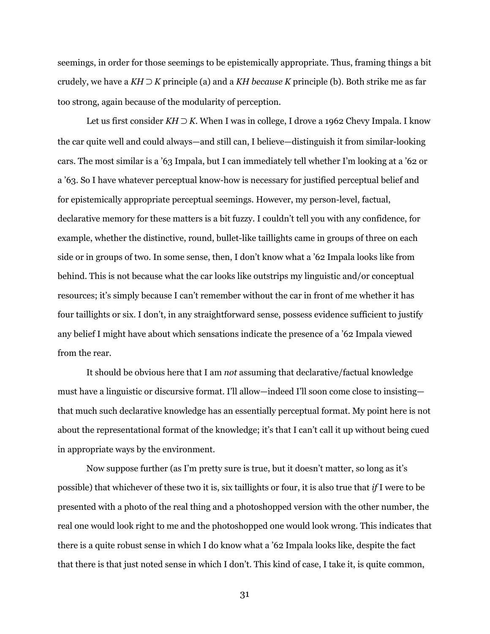seemings, in order for those seemings to be epistemically appropriate. Thus, framing things a bit crudely, we have a *KH* ⊃ *K* principle (a) and a *KH because K* principle (b). Both strike me as far too strong, again because of the modularity of perception.

 Let us first consider *KH* ⊃ *K*. When I was in college, I drove a 1962 Chevy Impala. I know the car quite well and could always—and still can, I believe—distinguish it from similar-looking cars. The most similar is a '63 Impala, but I can immediately tell whether I'm looking at a '62 or a '63. So I have whatever perceptual know-how is necessary for justified perceptual belief and for epistemically appropriate perceptual seemings. However, my person-level, factual, declarative memory for these matters is a bit fuzzy. I couldn't tell you with any confidence, for example, whether the distinctive, round, bullet-like taillights came in groups of three on each side or in groups of two. In some sense, then, I don't know what a '62 Impala looks like from behind. This is not because what the car looks like outstrips my linguistic and/or conceptual resources; it's simply because I can't remember without the car in front of me whether it has four taillights or six. I don't, in any straightforward sense, possess evidence sufficient to justify any belief I might have about which sensations indicate the presence of a '62 Impala viewed from the rear.

 It should be obvious here that I am *not* assuming that declarative/factual knowledge must have a linguistic or discursive format. I'll allow—indeed I'll soon come close to insisting that much such declarative knowledge has an essentially perceptual format. My point here is not about the representational format of the knowledge; it's that I can't call it up without being cued in appropriate ways by the environment.

 Now suppose further (as I'm pretty sure is true, but it doesn't matter, so long as it's possible) that whichever of these two it is, six taillights or four, it is also true that *if* I were to be presented with a photo of the real thing and a photoshopped version with the other number, the real one would look right to me and the photoshopped one would look wrong. This indicates that there is a quite robust sense in which I do know what a '62 Impala looks like, despite the fact that there is that just noted sense in which I don't. This kind of case, I take it, is quite common,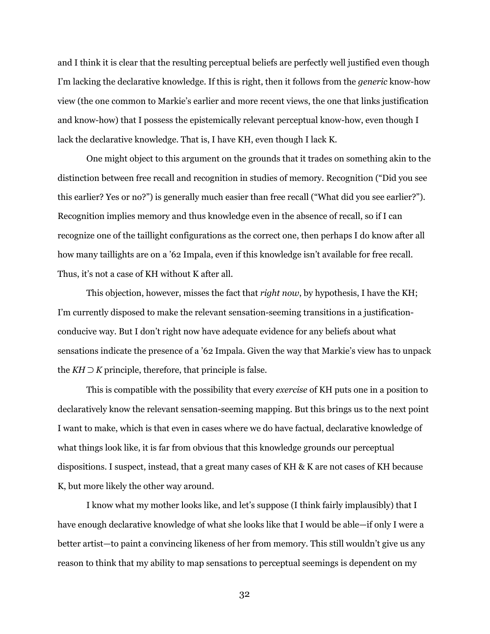and I think it is clear that the resulting perceptual beliefs are perfectly well justified even though I'm lacking the declarative knowledge. If this is right, then it follows from the *generic* know-how view (the one common to Markie's earlier and more recent views, the one that links justification and know-how) that I possess the epistemically relevant perceptual know-how, even though I lack the declarative knowledge. That is, I have KH, even though I lack K.

 One might object to this argument on the grounds that it trades on something akin to the distinction between free recall and recognition in studies of memory. Recognition ("Did you see this earlier? Yes or no?") is generally much easier than free recall ("What did you see earlier?"). Recognition implies memory and thus knowledge even in the absence of recall, so if I can recognize one of the taillight configurations as the correct one, then perhaps I do know after all how many taillights are on a '62 Impala, even if this knowledge isn't available for free recall. Thus, it's not a case of KH without K after all.

 This objection, however, misses the fact that *right now*, by hypothesis, I have the KH; I'm currently disposed to make the relevant sensation-seeming transitions in a justificationconducive way. But I don't right now have adequate evidence for any beliefs about what sensations indicate the presence of a '62 Impala. Given the way that Markie's view has to unpack the  $KH \supset K$  principle, therefore, that principle is false.

 This is compatible with the possibility that every *exercise* of KH puts one in a position to declaratively know the relevant sensation-seeming mapping. But this brings us to the next point I want to make, which is that even in cases where we do have factual, declarative knowledge of what things look like, it is far from obvious that this knowledge grounds our perceptual dispositions. I suspect, instead, that a great many cases of KH & K are not cases of KH because K, but more likely the other way around.

 I know what my mother looks like, and let's suppose (I think fairly implausibly) that I have enough declarative knowledge of what she looks like that I would be able—if only I were a better artist—to paint a convincing likeness of her from memory. This still wouldn't give us any reason to think that my ability to map sensations to perceptual seemings is dependent on my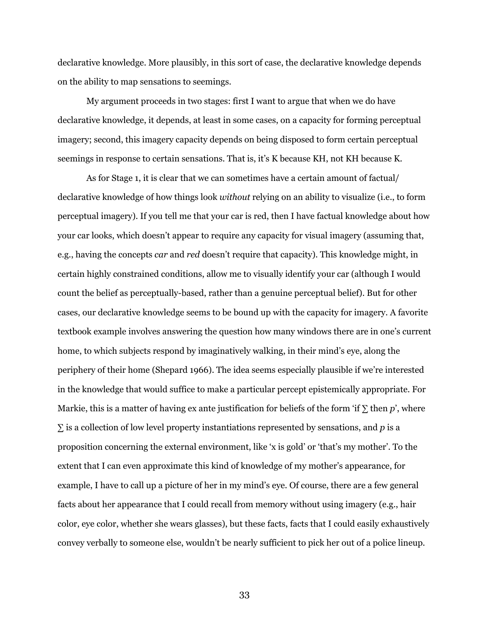declarative knowledge. More plausibly, in this sort of case, the declarative knowledge depends on the ability to map sensations to seemings.

 My argument proceeds in two stages: first I want to argue that when we do have declarative knowledge, it depends, at least in some cases, on a capacity for forming perceptual imagery; second, this imagery capacity depends on being disposed to form certain perceptual seemings in response to certain sensations. That is, it's K because KH, not KH because K.

 As for Stage 1, it is clear that we can sometimes have a certain amount of factual/ declarative knowledge of how things look *without* relying on an ability to visualize (i.e., to form perceptual imagery). If you tell me that your car is red, then I have factual knowledge about how your car looks, which doesn't appear to require any capacity for visual imagery (assuming that, e.g., having the concepts *car* and *red* doesn't require that capacity). This knowledge might, in certain highly constrained conditions, allow me to visually identify your car (although I would count the belief as perceptually-based, rather than a genuine perceptual belief). But for other cases, our declarative knowledge seems to be bound up with the capacity for imagery. A favorite textbook example involves answering the question how many windows there are in one's current home, to which subjects respond by imaginatively walking, in their mind's eye, along the periphery of their home (Shepard 1966). The idea seems especially plausible if we're interested in the knowledge that would suffice to make a particular percept epistemically appropriate. For Markie, this is a matter of having ex ante justification for beliefs of the form 'if *∑* then *p*', where ∑ is a collection of low level property instantiations represented by sensations, and *p* is a proposition concerning the external environment, like 'x is gold' or 'that's my mother'. To the extent that I can even approximate this kind of knowledge of my mother's appearance, for example, I have to call up a picture of her in my mind's eye. Of course, there are a few general facts about her appearance that I could recall from memory without using imagery (e.g., hair color, eye color, whether she wears glasses), but these facts, facts that I could easily exhaustively convey verbally to someone else, wouldn't be nearly sufficient to pick her out of a police lineup.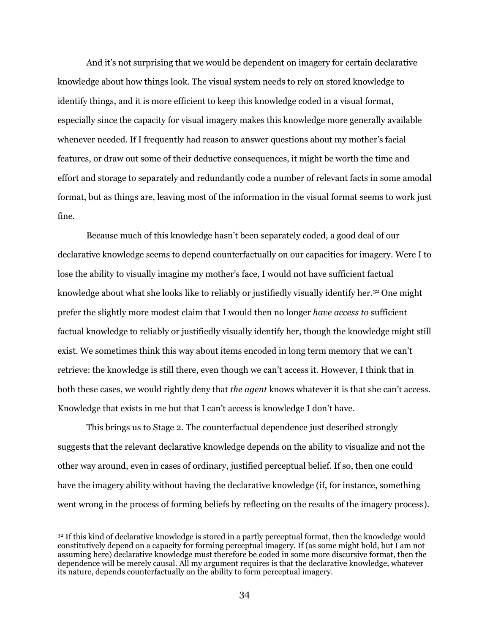And it's not surprising that we would be dependent on imagery for certain declarative knowledge about how things look. The visual system needs to rely on stored knowledge to identify things, and it is more efficient to keep this knowledge coded in a visual format, especially since the capacity for visual imagery makes this knowledge more generally available whenever needed. If I frequently had reason to answer questions about my mother's facial features, or draw out some of their deductive consequences, it might be worth the time and effort and storage to separately and redundantly code a number of relevant facts in some amodal format, but as things are, leaving most of the information in the visual format seems to work just fine.

<span id="page-33-1"></span> Because much of this knowledge hasn't been separately coded, a good deal of our declarative knowledge seems to depend counterfactually on our capacities for imagery. Were I to lose the ability to visually imagine my mother's face, I would not have sufficient factual knowledgeabout what she looks like to reliably or justifiedly visually identify her.<sup>[32](#page-33-0)</sup> One might prefer the slightly more modest claim that I would then no longer *have access to* sufficient factual knowledge to reliably or justifiedly visually identify her, though the knowledge might still exist. We sometimes think this way about items encoded in long term memory that we can't retrieve: the knowledge is still there, even though we can't access it. However, I think that in both these cases, we would rightly deny that *the agent* knows whatever it is that she can't access. Knowledge that exists in me but that I can't access is knowledge I don't have.

 This brings us to Stage 2. The counterfactual dependence just described strongly suggests that the relevant declarative knowledge depends on the ability to visualize and not the other way around, even in cases of ordinary, justified perceptual belief. If so, then one could have the imagery ability without having the declarative knowledge (if, for instance, something went wrong in the process of forming beliefs by reflecting on the results of the imagery process).

<span id="page-33-0"></span>[<sup>32</sup>](#page-33-1) If this kind of declarative knowledge is stored in a partly perceptual format, then the knowledge would constitutively depend on a capacity for forming perceptual imagery. If (as some might hold, but I am not assuming here) declarative knowledge must therefore be coded in some more discursive format, then the dependence will be merely causal. All my argument requires is that the declarative knowledge, whatever its nature, depends counterfactually on the ability to form perceptual imagery.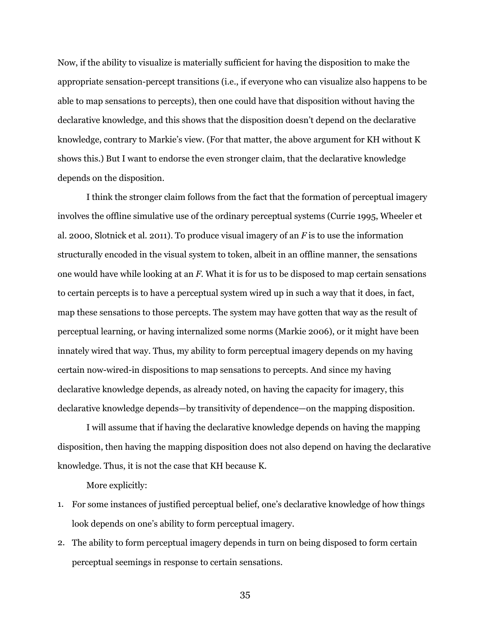Now, if the ability to visualize is materially sufficient for having the disposition to make the appropriate sensation-percept transitions (i.e., if everyone who can visualize also happens to be able to map sensations to percepts), then one could have that disposition without having the declarative knowledge, and this shows that the disposition doesn't depend on the declarative knowledge, contrary to Markie's view. (For that matter, the above argument for KH without K shows this.) But I want to endorse the even stronger claim, that the declarative knowledge depends on the disposition.

 I think the stronger claim follows from the fact that the formation of perceptual imagery involves the offline simulative use of the ordinary perceptual systems (Currie 1995, Wheeler et al. 2000, Slotnick et al. 2011). To produce visual imagery of an *F* is to use the information structurally encoded in the visual system to token, albeit in an offline manner, the sensations one would have while looking at an *F*. What it is for us to be disposed to map certain sensations to certain percepts is to have a perceptual system wired up in such a way that it does, in fact, map these sensations to those percepts. The system may have gotten that way as the result of perceptual learning, or having internalized some norms (Markie 2006), or it might have been innately wired that way. Thus, my ability to form perceptual imagery depends on my having certain now-wired-in dispositions to map sensations to percepts. And since my having declarative knowledge depends, as already noted, on having the capacity for imagery, this declarative knowledge depends—by transitivity of dependence—on the mapping disposition.

 I will assume that if having the declarative knowledge depends on having the mapping disposition, then having the mapping disposition does not also depend on having the declarative knowledge. Thus, it is not the case that KH because K.

More explicitly:

- 1. For some instances of justified perceptual belief, one's declarative knowledge of how things look depends on one's ability to form perceptual imagery.
- 2. The ability to form perceptual imagery depends in turn on being disposed to form certain perceptual seemings in response to certain sensations.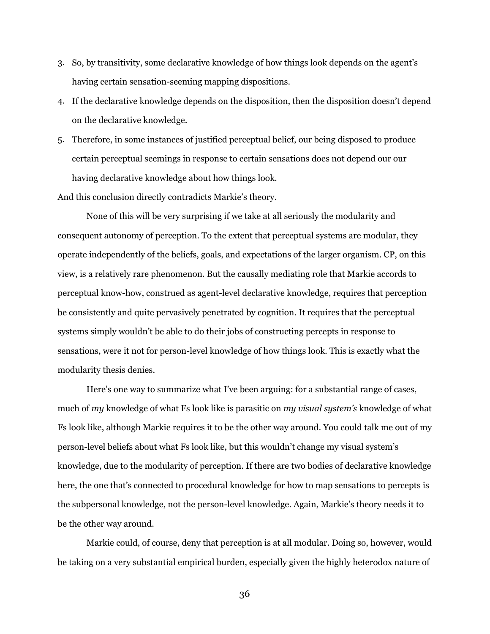- 3. So, by transitivity, some declarative knowledge of how things look depends on the agent's having certain sensation-seeming mapping dispositions.
- 4. If the declarative knowledge depends on the disposition, then the disposition doesn't depend on the declarative knowledge.
- 5. Therefore, in some instances of justified perceptual belief, our being disposed to produce certain perceptual seemings in response to certain sensations does not depend our our having declarative knowledge about how things look.

And this conclusion directly contradicts Markie's theory.

 None of this will be very surprising if we take at all seriously the modularity and consequent autonomy of perception. To the extent that perceptual systems are modular, they operate independently of the beliefs, goals, and expectations of the larger organism. CP, on this view, is a relatively rare phenomenon. But the causally mediating role that Markie accords to perceptual know-how, construed as agent-level declarative knowledge, requires that perception be consistently and quite pervasively penetrated by cognition. It requires that the perceptual systems simply wouldn't be able to do their jobs of constructing percepts in response to sensations, were it not for person-level knowledge of how things look. This is exactly what the modularity thesis denies.

 Here's one way to summarize what I've been arguing: for a substantial range of cases, much of *my* knowledge of what Fs look like is parasitic on *my visual system's* knowledge of what Fs look like, although Markie requires it to be the other way around. You could talk me out of my person-level beliefs about what Fs look like, but this wouldn't change my visual system's knowledge, due to the modularity of perception. If there are two bodies of declarative knowledge here, the one that's connected to procedural knowledge for how to map sensations to percepts is the subpersonal knowledge, not the person-level knowledge. Again, Markie's theory needs it to be the other way around.

 Markie could, of course, deny that perception is at all modular. Doing so, however, would be taking on a very substantial empirical burden, especially given the highly heterodox nature of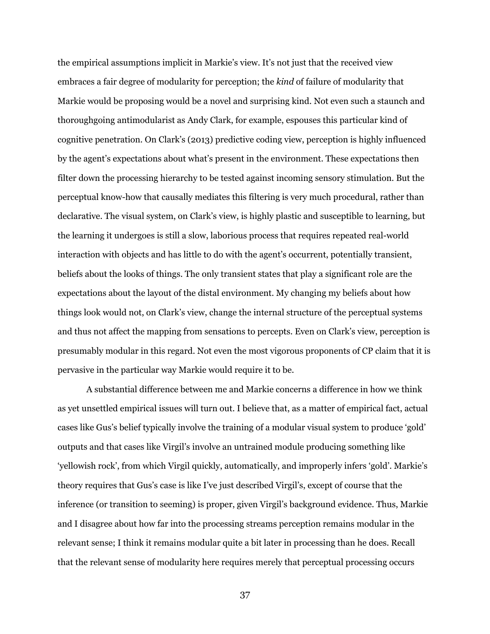the empirical assumptions implicit in Markie's view. It's not just that the received view embraces a fair degree of modularity for perception; the *kind* of failure of modularity that Markie would be proposing would be a novel and surprising kind. Not even such a staunch and thoroughgoing antimodularist as Andy Clark, for example, espouses this particular kind of cognitive penetration. On Clark's (2013) predictive coding view, perception is highly influenced by the agent's expectations about what's present in the environment. These expectations then filter down the processing hierarchy to be tested against incoming sensory stimulation. But the perceptual know-how that causally mediates this filtering is very much procedural, rather than declarative. The visual system, on Clark's view, is highly plastic and susceptible to learning, but the learning it undergoes is still a slow, laborious process that requires repeated real-world interaction with objects and has little to do with the agent's occurrent, potentially transient, beliefs about the looks of things. The only transient states that play a significant role are the expectations about the layout of the distal environment. My changing my beliefs about how things look would not, on Clark's view, change the internal structure of the perceptual systems and thus not affect the mapping from sensations to percepts. Even on Clark's view, perception is presumably modular in this regard. Not even the most vigorous proponents of CP claim that it is pervasive in the particular way Markie would require it to be.

 A substantial difference between me and Markie concerns a difference in how we think as yet unsettled empirical issues will turn out. I believe that, as a matter of empirical fact, actual cases like Gus's belief typically involve the training of a modular visual system to produce 'gold' outputs and that cases like Virgil's involve an untrained module producing something like 'yellowish rock', from which Virgil quickly, automatically, and improperly infers 'gold'. Markie's theory requires that Gus's case is like I've just described Virgil's, except of course that the inference (or transition to seeming) is proper, given Virgil's background evidence. Thus, Markie and I disagree about how far into the processing streams perception remains modular in the relevant sense; I think it remains modular quite a bit later in processing than he does. Recall that the relevant sense of modularity here requires merely that perceptual processing occurs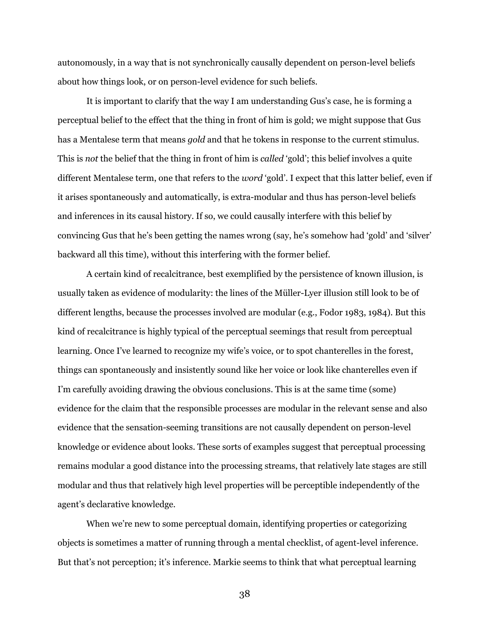autonomously, in a way that is not synchronically causally dependent on person-level beliefs about how things look, or on person-level evidence for such beliefs.

 It is important to clarify that the way I am understanding Gus's case, he is forming a perceptual belief to the effect that the thing in front of him is gold; we might suppose that Gus has a Mentalese term that means *gold* and that he tokens in response to the current stimulus. This is *not* the belief that the thing in front of him is *called* 'gold'; this belief involves a quite different Mentalese term, one that refers to the *word* 'gold'. I expect that this latter belief, even if it arises spontaneously and automatically, is extra-modular and thus has person-level beliefs and inferences in its causal history. If so, we could causally interfere with this belief by convincing Gus that he's been getting the names wrong (say, he's somehow had 'gold' and 'silver' backward all this time), without this interfering with the former belief.

 A certain kind of recalcitrance, best exemplified by the persistence of known illusion, is usually taken as evidence of modularity: the lines of the Müller-Lyer illusion still look to be of different lengths, because the processes involved are modular (e.g., Fodor 1983, 1984). But this kind of recalcitrance is highly typical of the perceptual seemings that result from perceptual learning. Once I've learned to recognize my wife's voice, or to spot chanterelles in the forest, things can spontaneously and insistently sound like her voice or look like chanterelles even if I'm carefully avoiding drawing the obvious conclusions. This is at the same time (some) evidence for the claim that the responsible processes are modular in the relevant sense and also evidence that the sensation-seeming transitions are not causally dependent on person-level knowledge or evidence about looks. These sorts of examples suggest that perceptual processing remains modular a good distance into the processing streams, that relatively late stages are still modular and thus that relatively high level properties will be perceptible independently of the agent's declarative knowledge.

 When we're new to some perceptual domain, identifying properties or categorizing objects is sometimes a matter of running through a mental checklist, of agent-level inference. But that's not perception; it's inference. Markie seems to think that what perceptual learning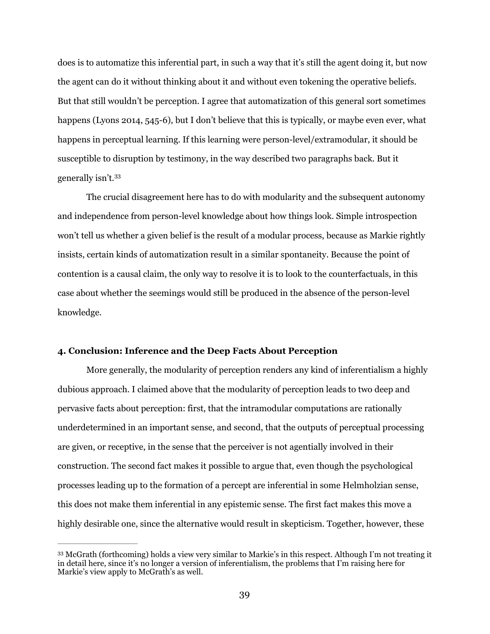does is to automatize this inferential part, in such a way that it's still the agent doing it, but now the agent can do it without thinking about it and without even tokening the operative beliefs. But that still wouldn't be perception. I agree that automatization of this general sort sometimes happens (Lyons 2014, 545-6), but I don't believe that this is typically, or maybe even ever, what happens in perceptual learning. If this learning were person-level/extramodular, it should be susceptible to disruption by testimony, in the way described two paragraphs back. But it generally isn't.[33](#page-38-0)

<span id="page-38-1"></span> The crucial disagreement here has to do with modularity and the subsequent autonomy and independence from person-level knowledge about how things look. Simple introspection won't tell us whether a given belief is the result of a modular process, because as Markie rightly insists, certain kinds of automatization result in a similar spontaneity. Because the point of contention is a causal claim, the only way to resolve it is to look to the counterfactuals, in this case about whether the seemings would still be produced in the absence of the person-level knowledge.

### **4. Conclusion: Inference and the Deep Facts About Perception**

 More generally, the modularity of perception renders any kind of inferentialism a highly dubious approach. I claimed above that the modularity of perception leads to two deep and pervasive facts about perception: first, that the intramodular computations are rationally underdetermined in an important sense, and second, that the outputs of perceptual processing are given, or receptive, in the sense that the perceiver is not agentially involved in their construction. The second fact makes it possible to argue that, even though the psychological processes leading up to the formation of a percept are inferential in some Helmholzian sense, this does not make them inferential in any epistemic sense. The first fact makes this move a highly desirable one, since the alternative would result in skepticism. Together, however, these

<span id="page-38-0"></span>[33](#page-38-1) McGrath (forthcoming) holds a view very similar to Markie's in this respect. Although I'm not treating it in detail here, since it's no longer a version of inferentialism, the problems that I'm raising here for Markie's view apply to McGrath's as well.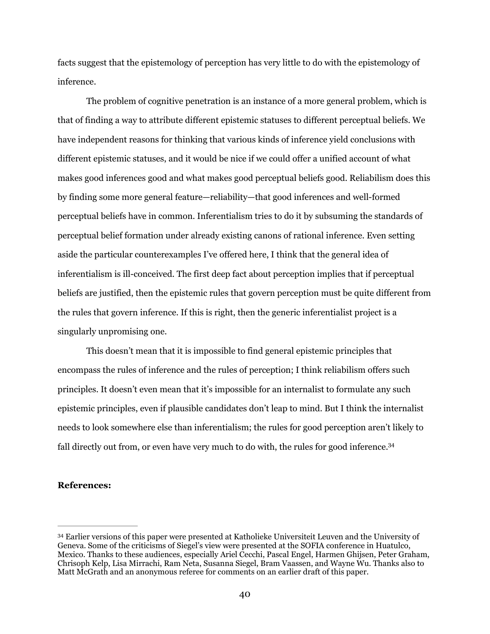facts suggest that the epistemology of perception has very little to do with the epistemology of inference.

 The problem of cognitive penetration is an instance of a more general problem, which is that of finding a way to attribute different epistemic statuses to different perceptual beliefs. We have independent reasons for thinking that various kinds of inference yield conclusions with different epistemic statuses, and it would be nice if we could offer a unified account of what makes good inferences good and what makes good perceptual beliefs good. Reliabilism does this by finding some more general feature—reliability—that good inferences and well-formed perceptual beliefs have in common. Inferentialism tries to do it by subsuming the standards of perceptual belief formation under already existing canons of rational inference. Even setting aside the particular counterexamples I've offered here, I think that the general idea of inferentialism is ill-conceived. The first deep fact about perception implies that if perceptual beliefs are justified, then the epistemic rules that govern perception must be quite different from the rules that govern inference. If this is right, then the generic inferentialist project is a singularly unpromising one.

 This doesn't mean that it is impossible to find general epistemic principles that encompass the rules of inference and the rules of perception; I think reliabilism offers such principles. It doesn't even mean that it's impossible for an internalist to formulate any such epistemic principles, even if plausible candidates don't leap to mind. But I think the internalist needs to look somewhere else than inferentialism; the rules for good perception aren't likely to fall directly out from, or even have very much to do with, the rules for good inference.<sup>34</sup>

# <span id="page-39-1"></span>**References:**

<span id="page-39-0"></span><sup>&</sup>lt;sup>[34](#page-39-1)</sup> Earlier versions of this paper were presented at Katholieke Universiteit Leuven and the University of Geneva. Some of the criticisms of Siegel's view were presented at the SOFIA conference in Huatulco, Mexico. Thanks to these audiences, especially Ariel Cecchi, Pascal Engel, Harmen Ghijsen, Peter Graham, Chrisoph Kelp, Lisa Mirrachi, Ram Neta, Susanna Siegel, Bram Vaassen, and Wayne Wu. Thanks also to Matt McGrath and an anonymous referee for comments on an earlier draft of this paper.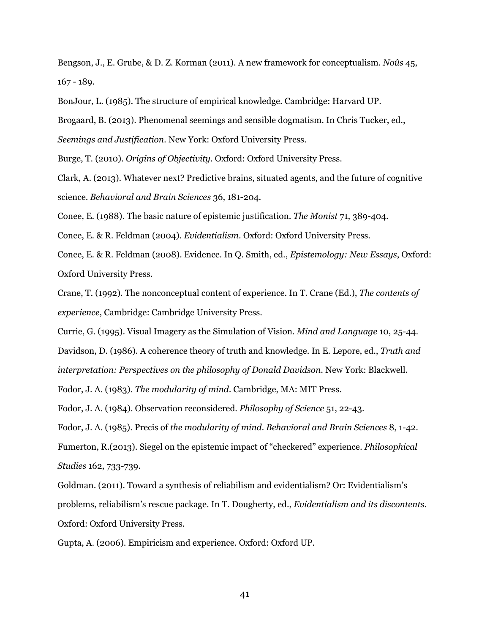Bengson, J., E. Grube, & D. Z. Korman (2011). A new framework for conceptualism. *Noûs* 45, 167 - 189.

BonJour, L. (1985). The structure of empirical knowledge. Cambridge: Harvard UP.

Brogaard, B. (2013). Phenomenal seemings and sensible dogmatism. In Chris Tucker, ed.,

*Seemings and Justification*. New York: Oxford University Press.

Burge, T. (2010). *Origins of Objectivity.* Oxford: Oxford University Press.

Clark, A. (2013). Whatever next? Predictive brains, situated agents, and the future of cognitive science. *Behavioral and Brain Sciences* 36, 181-204.

Conee, E. (1988). The basic nature of epistemic justification. *The Monist* 71, 389-404.

Conee, E. & R. Feldman (2004). *Evidentialism*. Oxford: Oxford University Press.

Conee, E. & R. Feldman (2008). Evidence. In Q. Smith, ed., *Epistemology: New Essays*, Oxford: Oxford University Press.

Crane, T. (1992). The nonconceptual content of experience. In T. Crane (Ed.), *The contents of experience*, Cambridge: Cambridge University Press.

Currie, G. (1995). Visual Imagery as the Simulation of Vision. *Mind and Language* 10, 25-44.

Davidson, D. (1986). A coherence theory of truth and knowledge. In E. Lepore, ed., *Truth and* 

*interpretation: Perspectives on the philosophy of Donald Davidson*. New York: Blackwell.

Fodor, J. A. (1983). *The modularity of mind*. Cambridge, MA: MIT Press.

Fodor, J. A. (1984). Observation reconsidered. *Philosophy of Science* 51, 22-43.

Fodor, J. A. (1985). Precis of *the modularity of mind*. *Behavioral and Brain Sciences* 8, 1-42. Fumerton, R.(2013). Siegel on the epistemic impact of "checkered" experience. *Philosophical Studies* 162, 733-739.

Goldman. (2011). Toward a synthesis of reliabilism and evidentialism? Or: Evidentialism's problems, reliabilism's rescue package. In T. Dougherty, ed., *Evidentialism and its discontents*. Oxford: Oxford University Press.

Gupta, A. (2006). Empiricism and experience. Oxford: Oxford UP.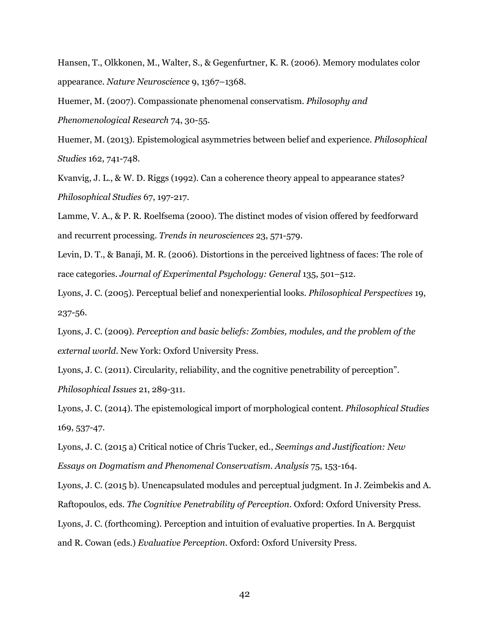Hansen, T., Olkkonen, M., Walter, S., & Gegenfurtner, K. R. (2006). Memory modulates color appearance. *Nature Neuroscience* 9, 1367–1368.

Huemer, M. (2007). Compassionate phenomenal conservatism. *Philosophy and Phenomenological Research* 74, 30-55.

Huemer, M. (2013). Epistemological asymmetries between belief and experience. *Philosophical Studies* 162, 741-748.

Kvanvig, J. L., & W. D. Riggs (1992). Can a coherence theory appeal to appearance states? *Philosophical Studies* 67, 197-217.

Lamme, V. A., & P. R. Roelfsema (2000). The distinct modes of vision offered by feedforward and recurrent processing. *Trends in neurosciences* 23, 571-579.

Levin, D. T., & Banaji, M. R. (2006). Distortions in the perceived lightness of faces: The role of race categories. *Journal of Experimental Psychology: General* 135, 501–512.

Lyons, J. C. (2005). Perceptual belief and nonexperiential looks. *Philosophical Perspectives* 19, 237-56.

Lyons, J. C. (2009). *Perception and basic beliefs: Zombies, modules, and the problem of the external world*. New York: Oxford University Press.

Lyons, J. C. (2011). Circularity, reliability, and the cognitive penetrability of perception". *Philosophical Issues* 21, 289-311.

Lyons, J. C. (2014). The epistemological import of morphological content. *Philosophical Studies* 169, 537-47.

Lyons, J. C. (2015 a) Critical notice of Chris Tucker, ed., *Seemings and Justification: New Essays on Dogmatism and Phenomenal Conservatism*. *Analysis* 75, 153-164.

Lyons, J. C. (2015 b). Unencapsulated modules and perceptual judgment. In J. Zeimbekis and A. Raftopoulos, eds. *The Cognitive Penetrability of Perception*. Oxford: Oxford University Press.

Lyons, J. C. (forthcoming). Perception and intuition of evaluative properties. In A. Bergquist and R. Cowan (eds.) *Evaluative Perception*. Oxford: Oxford University Press.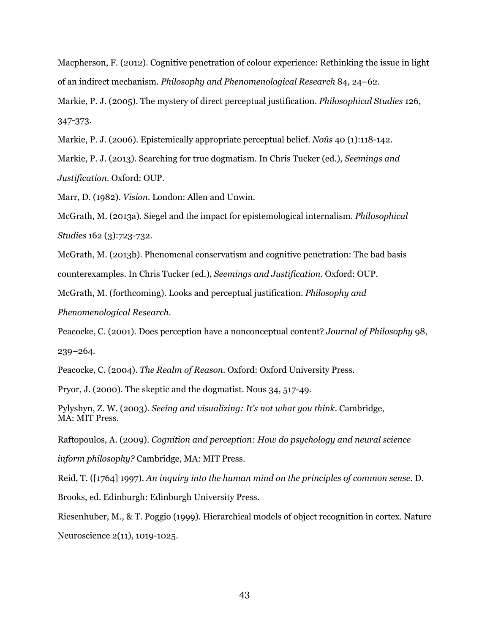Macpherson, F. (2012). Cognitive penetration of colour experience: Rethinking the issue in light of an indirect mechanism. *Philosophy and Phenomenological Research* 84, 24–62.

Markie, P. J. (2005). The mystery of direct perceptual justification. *Philosophical Studies* 126, 347-373.

Markie, P. J. (2006). Epistemically appropriate perceptual belief. *Noûs* 40 (1):118-142.

Markie, P. J. (2013). Searching for true dogmatism. In Chris Tucker (ed.), *Seemings and Justification*. Oxford: OUP.

Marr, D. (1982). *Vision*. London: Allen and Unwin.

McGrath, M. (2013a). Siegel and the impact for epistemological internalism. *Philosophical Studies* 162 (3):723-732.

McGrath, M. (2013b). Phenomenal conservatism and cognitive penetration: The bad basis counterexamples. In Chris Tucker (ed.), *Seemings and Justification*. Oxford: OUP.

McGrath, M. (forthcoming). Looks and perceptual justification. *Philosophy and* 

*Phenomenological Research*.

Peacocke, C. (2001). Does perception have a nonconceptual content? *Journal of Philosophy* 98,

239–264.

Peacocke, C. (2004). *The Realm of Reason*. Oxford: Oxford University Press.

Pryor, J. (2000). The skeptic and the dogmatist. Nous 34, 517-49.

Pylyshyn, Z. W. (2003). *Seeing and visualizing: It's not what you think*. Cambridge, MA: MIT Press.

Raftopoulos, A. (2009). *Cognition and perception: How do psychology and neural science* 

*inform philosophy?* Cambridge, MA: MIT Press.

Reid, T. ([1764] 1997). *An inquiry into the human mind on the principles of common sense*. D.

Brooks, ed. Edinburgh: Edinburgh University Press.

Riesenhuber, M., & T. Poggio (1999). Hierarchical models of object recognition in cortex. Nature Neuroscience 2(11), 1019-1025.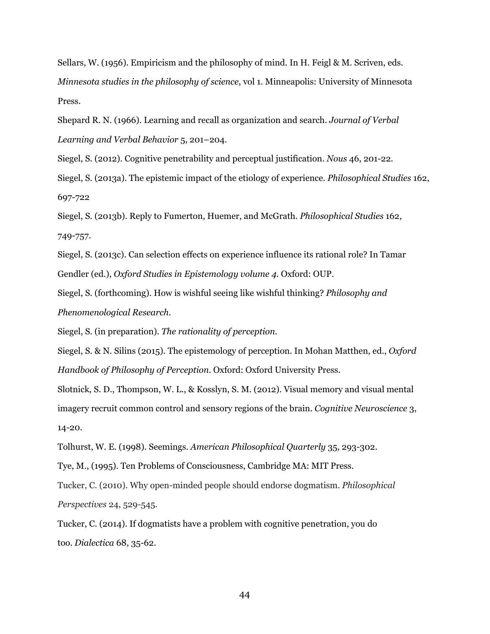Sellars, W. (1956). Empiricism and the philosophy of mind. In H. Feigl & M. Scriven, eds. *Minnesota studies in the philosophy of science*, vol 1. Minneapolis: University of Minnesota Press.

Shepard R. N. (1966). Learning and recall as organization and search. *Journal of Verbal Learning and Verbal Behavior* 5, 201–204.

Siegel, S. (2012). Cognitive penetrability and perceptual justification. *Nous* 46, 201-22.

Siegel, S. (2013a). The epistemic impact of the etiology of experience. *Philosophical Studies* 162, 697-722

Siegel, S. (2013b). Reply to Fumerton, Huemer, and McGrath. *Philosophical Studies* 162, 749-757.

Siegel, S. (2013c). Can selection effects on experience influence its rational role? In Tamar Gendler (ed.), *Oxford Studies in Epistemology volume 4*. Oxford: OUP.

Siegel, S. (forthcoming). How is wishful seeing like wishful thinking? *Philosophy and Phenomenological Research*.

Siegel, S. (in preparation). *The rationality of perception*.

Siegel, S. & N. Silins (2015). The epistemology of perception. In Mohan Matthen, ed., *Oxford Handbook of Philosophy of Perception*. Oxford: Oxford University Press.

Slotnick, S. D., Thompson, W. L., & Kosslyn, S. M. (2012). Visual memory and visual mental imagery recruit common control and sensory regions of the brain. *Cognitive Neuroscience* 3, 14-20.

Tolhurst, W. E. (1998). Seemings. *American Philosophical Quarterly* 35, 293-302.

Tye, M., (1995). Ten Problems of Consciousness, Cambridge MA: MIT Press.

Tucker, C. (2010). Why open-minded people should endorse dogmatism. *Philosophical Perspectives* 24, 529-545.

Tucker, C. (2014). If dogmatists have a problem with cognitive penetration, you do too. *Dialectica* 68, 35-62.